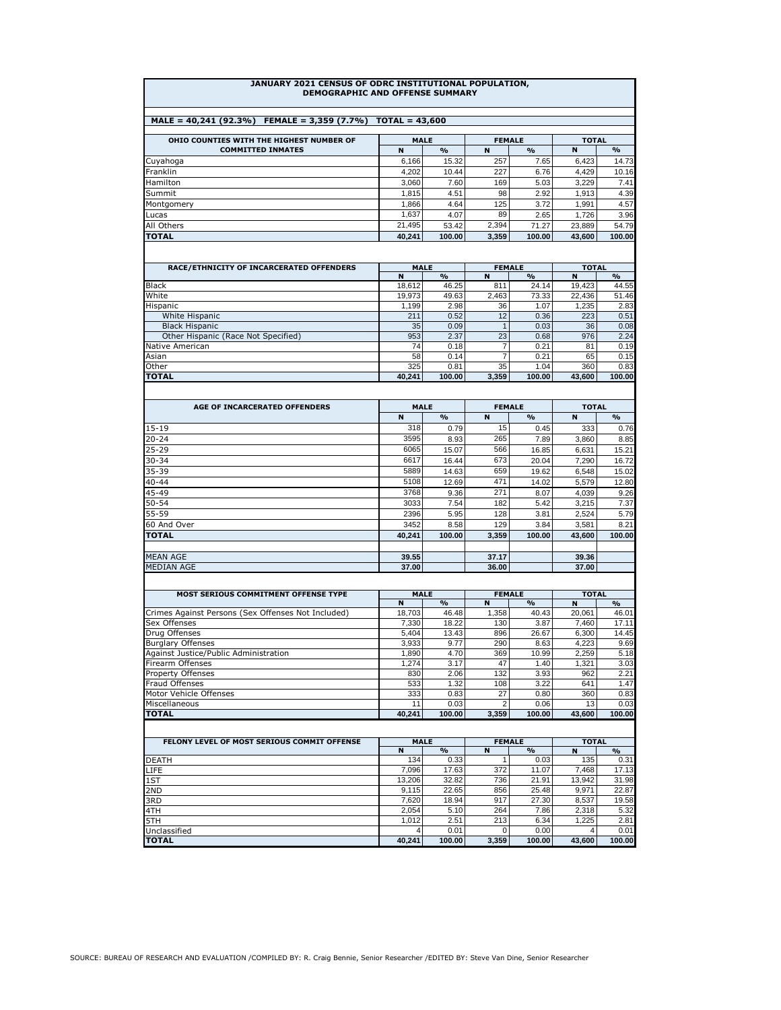## **JANUARY 2021 CENSUS OF ODRC INSTITUTIONAL POPULATION, DEMOGRAPHIC AND OFFENSE SUMMARY**

| $MALE = 40.241(92.3\%)$<br>FEMALE = $3.359(7.7%)$<br>$TOTAL = 43.600$ |             |               |               |               |              |               |  |  |  |
|-----------------------------------------------------------------------|-------------|---------------|---------------|---------------|--------------|---------------|--|--|--|
|                                                                       |             |               |               |               |              |               |  |  |  |
| OHIO COUNTIES WITH THE HIGHEST NUMBER OF                              | <b>MALE</b> |               | <b>FEMALE</b> |               | <b>TOTAL</b> |               |  |  |  |
| <b>COMMITTED INMATES</b>                                              | N           | $\frac{1}{2}$ | N             | $\frac{0}{0}$ | N            | $\frac{9}{6}$ |  |  |  |
| Cuyahoga                                                              | 6.166       | 15.32         | 257           | 7.65          | 6,423        | 14.73         |  |  |  |
| Franklin                                                              | 4.202       | 10.44         | 227           | 6.76          | 4.429        | 10.16         |  |  |  |
| Hamilton                                                              | 3.060       | 7.60          | 169           | 5.03          | 3.229        | 7.41          |  |  |  |
| Summit                                                                | 1.815       | 4.51          | 98            | 2.92          | 1.913        | 4.39          |  |  |  |
| Montgomery                                                            | 1.866       | 4.64          | 125           | 3.72          | 1.991        | 4.57          |  |  |  |
| Lucas                                                                 | 1.637       | 4.07          | 89            | 2.65          | 1.726        | 3.96          |  |  |  |
| All Others                                                            | 21.495      | 53.42         | 2.394         | 71.27         | 23.889       | 54.79         |  |  |  |
| <b>TOTAL</b>                                                          | 40.241      | 100.00        | 3,359         | 100.00        | 43,600       | 100.00        |  |  |  |

| RACE/ETHNICITY OF INCARCERATED OFFENDERS | <b>MALE</b> |               | <b>FEMALE</b>   |               | <b>TOTAL</b> |               |  |
|------------------------------------------|-------------|---------------|-----------------|---------------|--------------|---------------|--|
|                                          | N           | $\frac{1}{2}$ | N               | $\frac{9}{6}$ | N            | $\frac{0}{0}$ |  |
| <b>Black</b>                             | 18.612      | 46.25         | 811             | 24.14         | 19,423       | 44.55         |  |
| White                                    | 19.973      | 49.63         | 2.463           | 73.33         | 22,436       | 51.46         |  |
| Hispanic                                 | 1.199       | 2.98          | 36 <sub>1</sub> | 1.07          | 1.235        | 2.83          |  |
| White Hispanic                           | 211         | 0.52          | 12              | 0.36          | 223          | 0.51          |  |
| <b>Black Hispanic</b>                    | 35          | 0.09          |                 | 0.03          | 36           | 0.08          |  |
| Other Hispanic (Race Not Specified)      | 953         | 2.37          | 231             | 0.68          | 976          | 2.24          |  |
| Native American                          | 74          | 0.18          |                 | 0.21          | 81           | 0.19          |  |
| Asian                                    | 58          | 0.14          |                 | 0.21          | 65           | 0.15          |  |
| Other                                    | 325         | 0.81          | 35 <sub>1</sub> | 1.04          | 360          | 0.83          |  |
| <b>TOTAL</b>                             | 40.241      | 100.00        | 3,359           | 100.00        | 43.600       | 100.00        |  |

| AGE OF INCARCERATED OFFENDERS | <b>MALE</b> |               |       | <b>FEMALE</b>      | <b>TOTAL</b> |               |  |
|-------------------------------|-------------|---------------|-------|--------------------|--------------|---------------|--|
|                               | N           | $\frac{9}{6}$ | N     | $\frac{0}{\alpha}$ | N            | $\frac{9}{6}$ |  |
| $15 - 19$                     | 318         | 0.79          | 15    | 0.45               | 333          | 0.76          |  |
| $20 - 24$                     | 3595        | 8.93          | 265   | 7.89               | 3,860        | 8.85          |  |
| $25 - 29$                     | 6065        | 15.07         | 566   | 16.85              | 6,631        | 15.21         |  |
| $30 - 34$                     | 6617        | 16.44         | 673   | 20.04              | 7.290        | 16.72         |  |
| 35-39                         | 5889        | 14.63         | 659   | 19.62              | 6,548        | 15.02         |  |
| $40 - 44$                     | 5108        | 12.69         | 471   | 14.02              | 5,579        | 12.80         |  |
| 45-49                         | 3768        | 9.36          | 271   | 8.07               | 4,039        | 9.26          |  |
| 50-54                         | 3033        | 7.54          | 182   | 5.42               | 3,215        | 7.37          |  |
| 55-59                         | 2396        | 5.95          | 128   | 3.81               | 2,524        | 5.79          |  |
| 60 And Over                   | 3452        | 8.58          | 129   | 3.84               | 3,581        | 8.21          |  |
| <b>TOTAL</b>                  | 40.241      | 100.00        | 3.359 | 100.00             | 43.600       | 100.00        |  |
|                               |             |               |       |                    |              |               |  |
| <b>MEAN AGE</b>               | 39.55       |               | 37.17 |                    | 39.36        |               |  |
| <b>MEDIAN AGE</b>             | 37.00       |               | 36.00 |                    | 37.00        |               |  |

| MOST SERIOUS COMMITMENT OFFENSE TYPE               | <b>MALE</b> |               | <b>FEMALE</b> |               | <b>TOTAL</b> |                         |  |
|----------------------------------------------------|-------------|---------------|---------------|---------------|--------------|-------------------------|--|
|                                                    | N           | $\frac{0}{0}$ | N             | $\frac{O}{O}$ | N            | $\mathbf{O}_\mathbf{O}$ |  |
| Crimes Against Persons (Sex Offenses Not Included) | 18.703      | 46.48         | 1.358         | 40.43         | 20.061       | 46.01                   |  |
| Sex Offenses                                       | 7.330       | 18.22         | 130           | 3.87          | 7.460        | 17.11                   |  |
| Drug Offenses                                      | 5.404       | 13.43         | 896           | 26.67         | 6.300        | 14.45                   |  |
| <b>Burglary Offenses</b>                           | 3.933       | 9.77          | 290           | 8.63          | 4.223        | 9.69                    |  |
| Against Justice/Public Administration              | 1.890       | 4.70          | 369           | 10.99         | 2.259        | 5.18                    |  |
| Firearm Offenses                                   | 1.274       | 3.17          | 47            | 1.40          | 1.321        | 3.03                    |  |
| <b>Property Offenses</b>                           | 830         | 2.06          | 132           | 3.93          | 962          | 2.21                    |  |
| Fraud Offenses                                     | 533         | 1.32          | 108           | 3.22          | 641          | 1.47                    |  |
| Motor Vehicle Offenses                             | 333         | 0.83          | 27            | 0.80          | 360          | 0.83                    |  |
| Miscellaneous                                      | 11          | 0.03          |               | 0.06          | 13           | 0.03                    |  |
| <b>TOTAL</b>                                       | 40,241      | 100.00        | 3.359         | 100.00        | 43.600       | 100.00                  |  |

| FELONY LEVEL OF MOST SERIOUS COMMIT OFFENSE | <b>MALE</b> |               | <b>FEMALE</b> |               | <b>TOTAL</b> |               |  |
|---------------------------------------------|-------------|---------------|---------------|---------------|--------------|---------------|--|
|                                             | N           | $\frac{1}{2}$ | N             | $\frac{0}{0}$ | N            | $\frac{9}{6}$ |  |
| <b>DEATH</b>                                | 134         | 0.33          |               | 0.03          | 135          | 0.31          |  |
| <b>LIFE</b>                                 | 7.096       | 17.63         | 372           | 11.07         | 7.468        | 17.13         |  |
| 1ST                                         | 13,206      | 32.82         | 736           | 21.91         | 13,942       | 31.98         |  |
| 2ND                                         | 9.115       | 22.65         | 856           | 25.48         | 9.971        | 22.87         |  |
| 3RD                                         | 7.620       | 18.94         | 917           | 27.30         | 8.537        | 19.58         |  |
| 4TH                                         | 2.054       | 5.10          | 264           | 7.86          | 2.318        | 5.32          |  |
| 5TH                                         | 1.012       | 2.51          | 213           | 6.34          | 1.225        | 2.81          |  |
| Unclassified                                | 4           | 0.01          |               | 0.00          | 4            | 0.01          |  |
| <b>TOTAL</b>                                | 40.241      | 100.00        | 3,359         | 100.00        | 43,600       | 100.00        |  |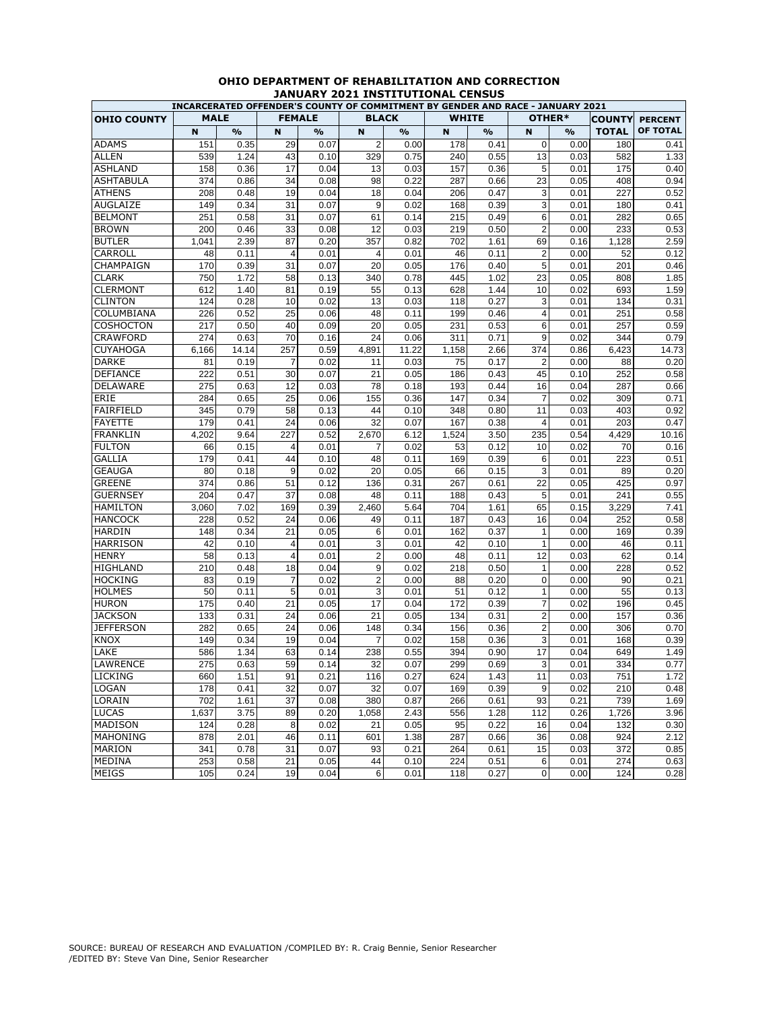|                    |             |       |                |               | INCARCERATED OFFENDER'S COUNTY OF COMMITMENT BY GENDER AND RACE - JANUARY 2021 |               |              |               |                |        |               |                |
|--------------------|-------------|-------|----------------|---------------|--------------------------------------------------------------------------------|---------------|--------------|---------------|----------------|--------|---------------|----------------|
| <b>OHIO COUNTY</b> | <b>MALE</b> |       | <b>FEMALE</b>  |               | <b>BLACK</b>                                                                   |               | <b>WHITE</b> |               |                | OTHER* | <b>COUNTY</b> | <b>PERCENT</b> |
|                    | $\mathbf N$ | %     | N              | $\frac{9}{6}$ | N                                                                              | $\frac{9}{6}$ | N            | $\frac{0}{0}$ | $\mathbf N$    | $\%$   | <b>TOTAL</b>  | OF TOTAL       |
| <b>ADAMS</b>       | 151         | 0.35  | 29             | 0.07          | $\overline{2}$                                                                 | 0.00          | 178          | 0.41          | $\mathbf 0$    | 0.00   | 180           | 0.41           |
| <b>ALLEN</b>       | 539         | 1.24  | 43             | 0.10          | 329                                                                            | 0.75          | 240          | 0.55          | 13             | 0.03   | 582           | 1.33           |
| <b>ASHLAND</b>     | 158         | 0.36  | 17             | 0.04          | 13                                                                             | 0.03          | 157          | 0.36          | 5              | 0.01   | 175           | 0.40           |
| <b>ASHTABULA</b>   | 374         | 0.86  | 34             | 0.08          | 98                                                                             | 0.22          | 287          | 0.66          | 23             | 0.05   | 408           | 0.94           |
| <b>ATHENS</b>      | 208         | 0.48  | 19             | 0.04          | 18                                                                             | 0.04          | 206          | 0.47          | 3              | 0.01   | 227           | 0.52           |
| AUGLAIZE           | 149         | 0.34  | 31             | 0.07          | 9                                                                              | 0.02          | 168          | 0.39          | 3              | 0.01   | 180           | 0.41           |
| <b>BELMONT</b>     | 251         | 0.58  | 31             | 0.07          | 61                                                                             | 0.14          | 215          | 0.49          | 6              | 0.01   | 282           | 0.65           |
| <b>BROWN</b>       | 200         | 0.46  | 33             | 0.08          | 12                                                                             | 0.03          | 219          | 0.50          | $\overline{2}$ | 0.00   | 233           | 0.53           |
| <b>BUTLER</b>      | 1,041       | 2.39  | 87             | 0.20          | 357                                                                            | 0.82          | 702          | 1.61          | 69             | 0.16   | 1,128         | 2.59           |
| CARROLL            | 48          | 0.11  | 4              | 0.01          | $\overline{4}$                                                                 | 0.01          | 46           | 0.11          | $\overline{2}$ | 0.00   | 52            | 0.12           |
| CHAMPAIGN          | 170         | 0.39  | 31             | 0.07          | 20                                                                             | 0.05          | 176          | 0.40          | 5              | 0.01   | 201           | 0.46           |
| <b>CLARK</b>       | 750         | 1.72  | 58             | 0.13          | 340                                                                            | 0.78          | 445          | 1.02          | 23             | 0.05   | 808           | 1.85           |
| <b>CLERMONT</b>    | 612         | 1.40  | 81             | 0.19          | 55                                                                             | 0.13          | 628          | 1.44          | 10             | 0.02   | 693           | 1.59           |
| <b>CLINTON</b>     | 124         | 0.28  | 10             | 0.02          | 13                                                                             | 0.03          | 118          | 0.27          | 3              | 0.01   | 134           | 0.31           |
| COLUMBIANA         | 226         | 0.52  | 25             | 0.06          | 48                                                                             | 0.11          | 199          | 0.46          | $\overline{4}$ | 0.01   | 251           | 0.58           |
| COSHOCTON          | 217         | 0.50  | 40             | 0.09          | 20                                                                             | 0.05          | 231          | 0.53          | 6              | 0.01   | 257           | 0.59           |
| <b>CRAWFORD</b>    | 274         | 0.63  | 70             | 0.16          | 24                                                                             | 0.06          | 311          | 0.71          | 9              | 0.02   | 344           | 0.79           |
| <b>CUYAHOGA</b>    | 6,166       | 14.14 | 257            | 0.59          | 4,891                                                                          | 11.22         | 1,158        | 2.66          | 374            | 0.86   | 6,423         | 14.73          |
| <b>DARKE</b>       | 81          | 0.19  | 7              | 0.02          | 11                                                                             | 0.03          | 75           | 0.17          | $\overline{2}$ | 0.00   | 88            | 0.20           |
| <b>DEFIANCE</b>    | 222         | 0.51  | 30             | 0.07          | 21                                                                             | 0.05          | 186          | 0.43          | 45             | 0.10   | 252           | 0.58           |
| <b>DELAWARE</b>    | 275         | 0.63  | 12             | 0.03          | 78                                                                             | 0.18          | 193          | 0.44          | 16             | 0.04   | 287           | 0.66           |
| ERIE               | 284         | 0.65  | 25             | 0.06          | 155                                                                            | 0.36          | 147          | 0.34          | 7              | 0.02   | 309           | 0.71           |
| FAIRFIELD          | 345         | 0.79  | 58             | 0.13          | 44                                                                             | 0.10          | 348          | 0.80          | 11             | 0.03   | 403           | 0.92           |
| <b>FAYETTE</b>     | 179         | 0.41  | 24             | 0.06          | 32                                                                             | 0.07          | 167          | 0.38          | 4              | 0.01   | 203           | 0.47           |
| <b>FRANKLIN</b>    | 4,202       | 9.64  | 227            | 0.52          | 2,670                                                                          | 6.12          | 1,524        | 3.50          | 235            | 0.54   | 4,429         | 10.16          |
| <b>FULTON</b>      | 66          | 0.15  | 4              | 0.01          | 7                                                                              | 0.02          | 53           | 0.12          | 10             | 0.02   | 70            | 0.16           |
| <b>GALLIA</b>      | 179         | 0.41  | 44             | 0.10          | 48                                                                             | 0.11          | 169          | 0.39          | 6              | 0.01   | 223           | 0.51           |
| <b>GEAUGA</b>      | 80          | 0.18  | 9              | 0.02          | 20                                                                             | 0.05          | 66           | 0.15          | 3              | 0.01   | 89            | 0.20           |
| <b>GREENE</b>      | 374         | 0.86  | 51             | 0.12          | 136                                                                            | 0.31          | 267          | 0.61          | 22             | 0.05   | 425           | 0.97           |
| <b>GUERNSEY</b>    | 204         | 0.47  | 37             | 0.08          | 48                                                                             | 0.11          | 188          | 0.43          | 5              | 0.01   | 241           | 0.55           |
| <b>HAMILTON</b>    | 3,060       | 7.02  | 169            | 0.39          | 2,460                                                                          | 5.64          | 704          | 1.61          | 65             | 0.15   | 3,229         | 7.41           |
| <b>HANCOCK</b>     | 228         | 0.52  | 24             | 0.06          | 49                                                                             | 0.11          | 187          | 0.43          | 16             | 0.04   | 252           | 0.58           |
| <b>HARDIN</b>      | 148         | 0.34  | 21             | 0.05          | 6                                                                              | 0.01          | 162          | 0.37          | $\mathbf{1}$   | 0.00   | 169           | 0.39           |
| <b>HARRISON</b>    | 42          | 0.10  | $\overline{4}$ | 0.01          | 3                                                                              | 0.01          | 42           | 0.10          | $\mathbf{1}$   | 0.00   | 46            | 0.11           |
| <b>HENRY</b>       | 58          | 0.13  | $\overline{4}$ | 0.01          | $\overline{2}$                                                                 | 0.00          | 48           | 0.11          | 12             | 0.03   | 62            | 0.14           |
| HIGHLAND           | 210         | 0.48  | 18             | 0.04          | 9                                                                              | 0.02          | 218          | 0.50          | $\mathbf{1}$   | 0.00   | 228           | 0.52           |
| <b>HOCKING</b>     | 83          | 0.19  | $\overline{7}$ | 0.02          | $\overline{2}$                                                                 | 0.00          | 88           | 0.20          | $\mathbf 0$    | 0.00   | 90            | 0.21           |
| <b>HOLMES</b>      | 50          | 0.11  | 5              | 0.01          | 3                                                                              | 0.01          | 51           | 0.12          | $\mathbf{1}$   | 0.00   | 55            | 0.13           |
| <b>HURON</b>       | 175         | 0.40  | 21             | 0.05          | 17                                                                             | 0.04          | 172          | 0.39          | 7              | 0.02   | 196           | 0.45           |
| <b>JACKSON</b>     | 133         | 0.31  | 24             | 0.06          | 21                                                                             | 0.05          | 134          | 0.31          | $\overline{2}$ | 0.00   | 157           | 0.36           |
| <b>JEFFERSON</b>   | 282         | 0.65  | 24             | 0.06          | 148                                                                            | 0.34          | 156          | 0.36          | $\overline{2}$ | 0.00   | 306           | 0.70           |
| <b>KNOX</b>        | 149         | 0.34  | 19             | 0.04          | $\overline{7}$                                                                 | 0.02          | 158          | 0.36          | 3              | 0.01   | 168           | 0.39           |
| LAKE               | 586         | 1.34  | 63             | 0.14          | 238                                                                            | 0.55          | 394          | 0.90          | 17             | 0.04   | 649           | 1.49           |
| LAWRENCE           | 275         | 0.63  | 59             | 0.14          | 32                                                                             | 0.07          | 299          | 0.69          | 3              | 0.01   | 334           | 0.77           |
| <b>LICKING</b>     | 660         | 1.51  | 91             | 0.21          | 116                                                                            | 0.27          | 624          | 1.43          | 11             | 0.03   | 751           | 1.72           |
| <b>LOGAN</b>       | 178         | 0.41  | 32             | 0.07          | 32                                                                             | 0.07          | 169          | 0.39          | 9              | 0.02   | 210           | 0.48           |
| LORAIN             | 702         | 1.61  | 37             | 0.08          | 380                                                                            | 0.87          | 266          | 0.61          | 93             | 0.21   | 739           | 1.69           |
| <b>LUCAS</b>       | 1,637       | 3.75  | 89             | 0.20          | 1,058                                                                          | 2.43          | 556          | 1.28          | 112            | 0.26   | 1,726         | 3.96           |
| MADISON            | 124         | 0.28  | 8              | 0.02          | 21                                                                             | 0.05          | 95           | 0.22          | 16             | 0.04   | 132           | 0.30           |
| <b>MAHONING</b>    | 878         | 2.01  | 46             | 0.11          | 601                                                                            | 1.38          | 287          | 0.66          | 36             | 0.08   | 924           | 2.12           |
| <b>MARION</b>      | 341         | 0.78  | 31             | 0.07          | 93                                                                             | 0.21          | 264          | 0.61          | 15             | 0.03   | 372           | 0.85           |
| MEDINA             | 253         | 0.58  | 21             | 0.05          | 44                                                                             | 0.10          | 224          | 0.51          | 6              | 0.01   | 274           | 0.63           |
| <b>MEIGS</b>       | 105         | 0.24  | 19             | 0.04          | 6                                                                              | 0.01          | 118          | 0.27          | 0              | 0.00   | 124           | 0.28           |

## **OHIO DEPARTMENT OF REHABILITATION AND CORRECTION JANUARY 2021 INSTITUTIONAL CENSUS**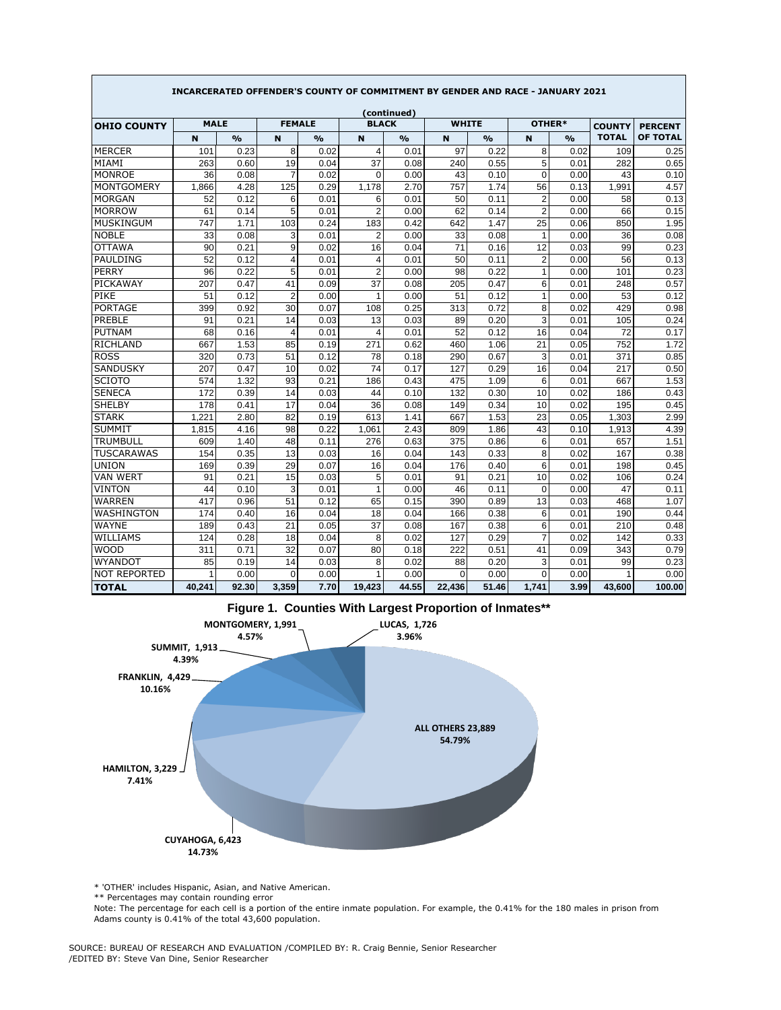|                     | INCARCERATED OFFENDER'S COUNTY OF COMMITMENT BY GENDER AND RACE - JANUARY 2021 |               |                         |               |                |               |              |               |                |               |                               |                                   |  |
|---------------------|--------------------------------------------------------------------------------|---------------|-------------------------|---------------|----------------|---------------|--------------|---------------|----------------|---------------|-------------------------------|-----------------------------------|--|
|                     |                                                                                |               |                         |               |                | (continued)   |              |               |                |               |                               |                                   |  |
| <b>OHIO COUNTY</b>  | <b>MALE</b>                                                                    |               | <b>FEMALE</b>           |               | <b>BLACK</b>   |               | <b>WHITE</b> |               |                | OTHER*        | <b>COUNTY</b><br><b>TOTAL</b> | <b>PERCENT</b><br><b>OF TOTAL</b> |  |
|                     | N                                                                              | $\frac{0}{0}$ | N                       | $\frac{9}{6}$ | N              | $\frac{9}{6}$ | N            | $\frac{9}{6}$ | N              | $\frac{O}{O}$ |                               |                                   |  |
| <b>MERCER</b>       | 101                                                                            | 0.23          | 8                       | 0.02          | $\overline{4}$ | 0.01          | 97           | 0.22          | 8              | 0.02          | 109                           | 0.25                              |  |
| MIAMI               | 263                                                                            | 0.60          | 19                      | 0.04          | 37             | 0.08          | 240          | 0.55          | 5              | 0.01          | 282                           | 0.65                              |  |
| <b>MONROE</b>       | 36                                                                             | 0.08          | $\overline{7}$          | 0.02          | $\mathbf 0$    | 0.00          | 43           | 0.10          | $\mathbf 0$    | 0.00          | 43                            | 0.10                              |  |
| <b>MONTGOMERY</b>   | 1,866                                                                          | 4.28          | 125                     | 0.29          | 1,178          | 2.70          | 757          | 1.74          | 56             | 0.13          | 1,991                         | 4.57                              |  |
| <b>MORGAN</b>       | 52                                                                             | 0.12          | 6                       | 0.01          | 6              | 0.01          | 50           | 0.11          | $\overline{2}$ | 0.00          | 58                            | 0.13                              |  |
| <b>MORROW</b>       | 61                                                                             | 0.14          | 5                       | 0.01          | $\overline{2}$ | 0.00          | 62           | 0.14          | $\overline{2}$ | 0.00          | 66                            | 0.15                              |  |
| <b>MUSKINGUM</b>    | 747                                                                            | 1.71          | 103                     | 0.24          | 183            | 0.42          | 642          | 1.47          | 25             | 0.06          | 850                           | 1.95                              |  |
| <b>NOBLE</b>        | 33                                                                             | 0.08          | 3                       | 0.01          | $\overline{2}$ | 0.00          | 33           | 0.08          | $\mathbf{1}$   | 0.00          | 36                            | 0.08                              |  |
| <b>OTTAWA</b>       | 90                                                                             | 0.21          | 9                       | 0.02          | 16             | 0.04          | 71           | 0.16          | 12             | 0.03          | 99                            | 0.23                              |  |
| PAULDING            | 52                                                                             | 0.12          | $\overline{\mathbf{4}}$ | 0.01          | $\overline{4}$ | 0.01          | 50           | 0.11          | $\overline{2}$ | 0.00          | 56                            | 0.13                              |  |
| <b>PERRY</b>        | 96                                                                             | 0.22          | 5                       | 0.01          | $\overline{2}$ | 0.00          | 98           | 0.22          | 1              | 0.00          | 101                           | 0.23                              |  |
| PICKAWAY            | 207                                                                            | 0.47          | 41                      | 0.09          | 37             | 0.08          | 205          | 0.47          | 6              | 0.01          | 248                           | 0.57                              |  |
| PIKE                | 51                                                                             | 0.12          | $\overline{2}$          | 0.00          | 1              | 0.00          | 51           | 0.12          | $\mathbf{1}$   | 0.00          | 53                            | 0.12                              |  |
| <b>PORTAGE</b>      | 399                                                                            | 0.92          | 30                      | 0.07          | 108            | 0.25          | 313          | 0.72          | 8              | 0.02          | 429                           | 0.98                              |  |
| PREBLE              | 91                                                                             | 0.21          | 14                      | 0.03          | 13             | 0.03          | 89           | 0.20          | 3              | 0.01          | 105                           | 0.24                              |  |
| <b>PUTNAM</b>       | 68                                                                             | 0.16          | $\overline{4}$          | 0.01          | $\overline{4}$ | 0.01          | 52           | 0.12          | 16             | 0.04          | 72                            | 0.17                              |  |
| <b>RICHLAND</b>     | 667                                                                            | 1.53          | 85                      | 0.19          | 271            | 0.62          | 460          | 1.06          | 21             | 0.05          | 752                           | 1.72                              |  |
| <b>ROSS</b>         | 320                                                                            | 0.73          | 51                      | 0.12          | 78             | 0.18          | 290          | 0.67          | 3              | 0.01          | 371                           | 0.85                              |  |
| <b>SANDUSKY</b>     | 207                                                                            | 0.47          | 10                      | 0.02          | 74             | 0.17          | 127          | 0.29          | 16             | 0.04          | 217                           | 0.50                              |  |
| <b>SCIOTO</b>       | 574                                                                            | 1.32          | 93                      | 0.21          | 186            | 0.43          | 475          | 1.09          | 6              | 0.01          | 667                           | 1.53                              |  |
| <b>SENECA</b>       | 172                                                                            | 0.39          | 14                      | 0.03          | 44             | 0.10          | 132          | 0.30          | 10             | 0.02          | 186                           | 0.43                              |  |
| <b>SHELBY</b>       | 178                                                                            | 0.41          | 17                      | 0.04          | 36             | 0.08          | 149          | 0.34          | 10             | 0.02          | 195                           | 0.45                              |  |
| <b>STARK</b>        | 1.221                                                                          | 2.80          | 82                      | 0.19          | 613            | 1.41          | 667          | 1.53          | 23             | 0.05          | 1.303                         | 2.99                              |  |
| <b>SUMMIT</b>       | 1,815                                                                          | 4.16          | 98                      | 0.22          | 1,061          | 2.43          | 809          | 1.86          | 43             | 0.10          | 1,913                         | 4.39                              |  |
| <b>TRUMBULL</b>     | 609                                                                            | 1.40          | 48                      | 0.11          | 276            | 0.63          | 375          | 0.86          | 6              | 0.01          | 657                           | 1.51                              |  |
| <b>TUSCARAWAS</b>   | 154                                                                            | 0.35          | 13                      | 0.03          | 16             | 0.04          | 143          | 0.33          | 8              | 0.02          | 167                           | 0.38                              |  |
| <b>UNION</b>        | 169                                                                            | 0.39          | 29                      | 0.07          | 16             | 0.04          | 176          | 0.40          | 6              | 0.01          | 198                           | 0.45                              |  |
| <b>VAN WERT</b>     | 91                                                                             | 0.21          | 15                      | 0.03          | 5              | 0.01          | 91           | 0.21          | 10             | 0.02          | 106                           | 0.24                              |  |
| <b>VINTON</b>       | 44                                                                             | 0.10          | 3                       | 0.01          | 1              | 0.00          | 46           | 0.11          | $\mathbf 0$    | 0.00          | 47                            | 0.11                              |  |
| <b>WARREN</b>       | 417                                                                            | 0.96          | 51                      | 0.12          | 65             | 0.15          | 390          | 0.89          | 13             | 0.03          | 468                           | 1.07                              |  |
| <b>WASHINGTON</b>   | 174                                                                            | 0.40          | 16                      | 0.04          | 18             | 0.04          | 166          | 0.38          | 6              | 0.01          | 190                           | 0.44                              |  |
| <b>WAYNE</b>        | 189                                                                            | 0.43          | 21                      | 0.05          | 37             | 0.08          | 167          | 0.38          | 6              | 0.01          | 210                           | 0.48                              |  |
| WILLIAMS            | 124                                                                            | 0.28          | 18                      | 0.04          | 8              | 0.02          | 127          | 0.29          | $\overline{7}$ | 0.02          | 142                           | 0.33                              |  |
| <b>WOOD</b>         | 311                                                                            | 0.71          | 32                      | 0.07          | 80             | 0.18          | 222          | 0.51          | 41             | 0.09          | 343                           | 0.79                              |  |
| <b>WYANDOT</b>      | 85                                                                             | 0.19          | 14                      | 0.03          | 8              | 0.02          | 88           | 0.20          | 3              | 0.01          | 99                            | 0.23                              |  |
| <b>NOT REPORTED</b> | 1                                                                              | 0.00          | $\mathbf 0$             | 0.00          | 1              | 0.00          | $\mathbf 0$  | 0.00          | 0              | 0.00          | $\mathbf{1}$                  | 0.00                              |  |
| <b>TOTAL</b>        | 40,241                                                                         | 92.30         | 3,359                   | 7.70          | 19,423         | 44.55         | 22,436       | 51.46         | 1.741          | 3.99          | 43,600                        | 100.00                            |  |



\* 'OTHER' includes Hispanic, Asian, and Native American.

\*\* Percentages may contain rounding error

Note: The percentage for each cell is a portion of the entire inmate population. For example, the 0.41% for the 180 males in prison from Adams county is 0.41% of the total 43,600 population.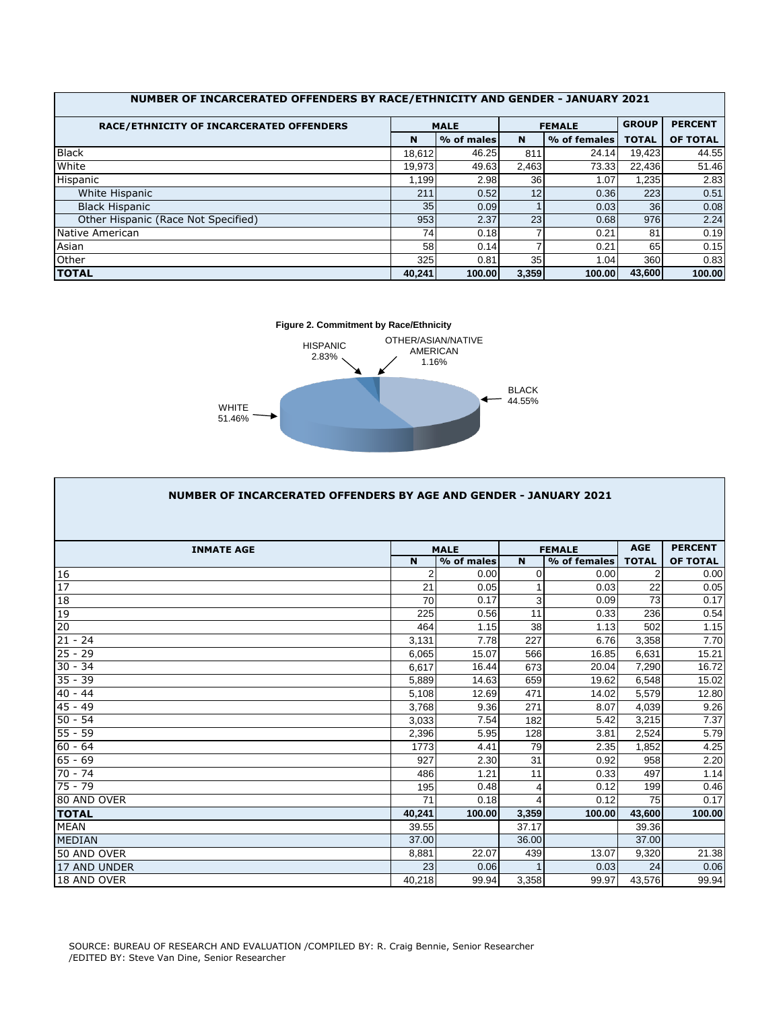| RACE/ETHNICITY OF INCARCERATED OFFENDERS |                 | <b>MALE</b> |       | <b>FEMALE</b> | <b>GROUP</b>    | <b>PERCENT</b> |
|------------------------------------------|-----------------|-------------|-------|---------------|-----------------|----------------|
|                                          | N               | % of males  | N     | % of females  | <b>TOTAL</b>    | OF TOTAL       |
| <b>Black</b>                             | 18,612          | 46.25       | 811   | 24.14         | 19,423          | 44.55          |
| White                                    | 19,973          | 49.63       | 2,463 | 73.33         | 22,436          | 51.46          |
| Hispanic                                 | 1.199           | 2.98        | 36    | 1.07          | 1,235           | 2.83           |
| White Hispanic                           | 211             | 0.52        | 12    | 0.36          | 223             | 0.51           |
| <b>Black Hispanic</b>                    | 35 <sup>1</sup> | 0.09        |       | 0.03          | 36 <sup>1</sup> | 0.08           |
| Other Hispanic (Race Not Specified)      | 953             | 2.37        | 23    | 0.68          | 976             | 2.24           |
| Native American                          | 74              | 0.18        |       | 0.21          | 81              | 0.19           |
| Asian                                    | 58              | 0.14        |       | 0.21          | 65              | 0.15           |
| Other                                    | 325             | 0.81        | 35    | 1.04          | 360             | 0.83           |
| <b>TOTAL</b>                             | 40.241          | 100.00      | 3,359 | 100.00        | 43.600          | 100.00         |



| NUMBER OF INCARCERATED OFFENDERS BY AGE AND GENDER - JANUARY 2021 |             |             |             |               |              |                 |
|-------------------------------------------------------------------|-------------|-------------|-------------|---------------|--------------|-----------------|
|                                                                   |             |             |             |               |              |                 |
| <b>INMATE AGE</b>                                                 |             | <b>MALE</b> |             | <b>FEMALE</b> | <b>AGE</b>   | <b>PERCENT</b>  |
|                                                                   | $\mathbf N$ | % of males  | $\mathbf N$ | % of females  | <b>TOTAL</b> | <b>OF TOTAL</b> |
| 16                                                                | 2           | 0.00        | $\Omega$    | 0.00          | 2            | 0.00            |
| 17                                                                | 21          | 0.05        |             | 0.03          | 22           | 0.05            |
| 18                                                                | 70          | 0.17        | 3           | 0.09          | 73           | 0.17            |
| 19                                                                | 225         | 0.56        | 11          | 0.33          | 236          | 0.54            |
| 20                                                                | 464         | 1.15        | 38          | 1.13          | 502          | 1.15            |
| $21 - 24$                                                         | 3,131       | 7.78        | 227         | 6.76          | 3,358        | 7.70            |
| $25 - 29$                                                         | 6.065       | 15.07       | 566         | 16.85         | 6,631        | 15.21           |
| $30 - 34$                                                         | 6.617       | 16.44       | 673         | 20.04         | 7,290        | 16.72           |
| $35 - 39$                                                         | 5,889       | 14.63       | 659         | 19.62         | 6,548        | 15.02           |
| $40 - 44$                                                         | 5,108       | 12.69       | 471         | 14.02         | 5,579        | 12.80           |
| $45 - 49$                                                         | 3,768       | 9.36        | 271         | 8.07          | 4,039        | 9.26            |
| $50 - 54$                                                         | 3,033       | 7.54        | 182         | 5.42          | 3,215        | 7.37            |
| $55 - 59$                                                         | 2,396       | 5.95        | 128         | 3.81          | 2,524        | 5.79            |
| $60 - 64$                                                         | 1773        | 4.41        | 79          | 2.35          | 1,852        | 4.25            |
| $65 - 69$                                                         | 927         | 2.30        | 31          | 0.92          | 958          | 2.20            |
| $70 - 74$                                                         | 486         | 1.21        | 11          | 0.33          | 497          | 1.14            |
| $75 - 79$                                                         | 195         | 0.48        | 4           | 0.12          | 199          | 0.46            |
| 80 AND OVER                                                       | 71          | 0.18        |             | 0.12          | 75           | 0.17            |
| <b>TOTAL</b>                                                      | 40,241      | 100.00      | 3,359       | 100.00        | 43,600       | 100.00          |
| <b>MEAN</b>                                                       | 39.55       |             | 37.17       |               | 39.36        |                 |
| <b>MEDIAN</b>                                                     | 37.00       |             | 36.00       |               | 37.00        |                 |
| 50 AND OVER                                                       | 8,881       | 22.07       | 439         | 13.07         | 9,320        | 21.38           |
| 17 AND UNDER                                                      | 23          | 0.06        |             | 0.03          | 24           | 0.06            |
| 18 AND OVER                                                       | 40,218      | 99.94       | 3,358       | 99.97         | 43,576       | 99.94           |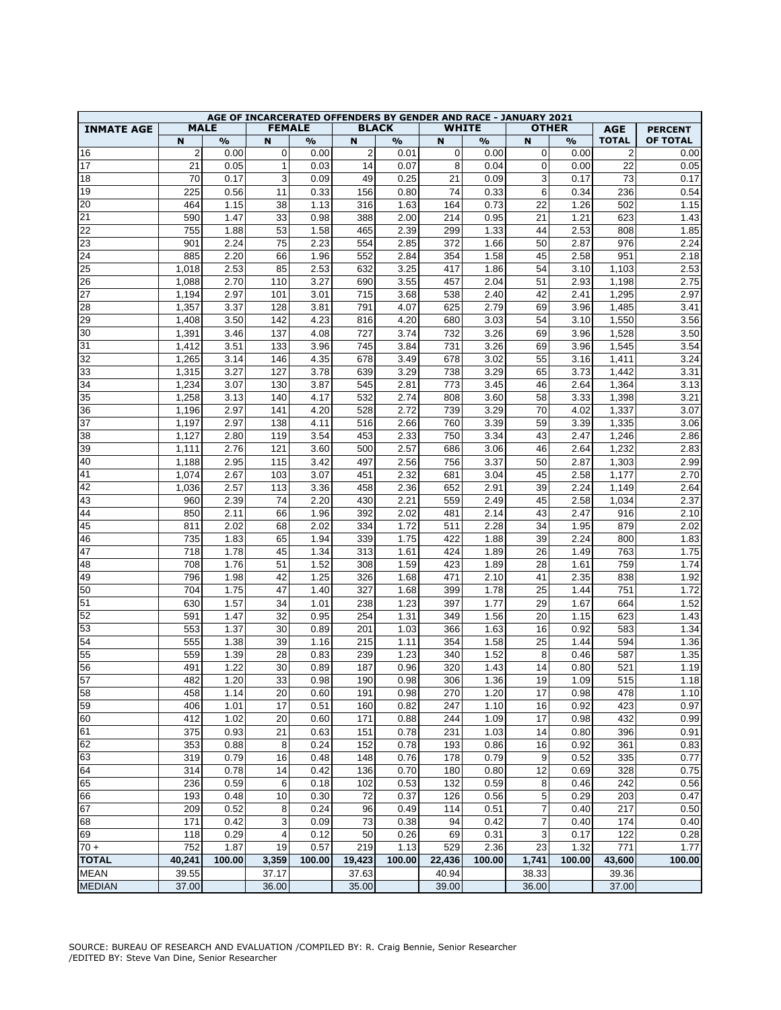|                   |                |               |               |               |                |               |             | AGE OF INCARCERATED OFFENDERS BY GENDER AND RACE - JANUARY 2021 |                |               |                |                |
|-------------------|----------------|---------------|---------------|---------------|----------------|---------------|-------------|-----------------------------------------------------------------|----------------|---------------|----------------|----------------|
| <b>INMATE AGE</b> |                | <b>MALE</b>   | <b>FEMALE</b> |               |                | <b>BLACK</b>  |             | <b>WHITE</b>                                                    |                | <b>OTHER</b>  | <b>AGE</b>     | <b>PERCENT</b> |
|                   | N              | $\frac{9}{6}$ | N             | $\frac{1}{2}$ | N              | $\frac{9}{0}$ | N           | $\frac{9}{0}$                                                   | N              | $\frac{9}{0}$ | <b>TOTAL</b>   | OF TOTAL       |
| 16                | $\overline{2}$ | 0.00          | $\mathbf 0$   | 0.00          | $\overline{2}$ | 0.01          | $\mathbf 0$ | 0.00                                                            | 0              | 0.00          | $\overline{2}$ | 0.00           |
| 17                | 21             | 0.05          | $\mathbf{1}$  | 0.03          | 14             | 0.07          | 8           | 0.04                                                            | 0              | 0.00          | 22             | 0.05           |
| 18                | 70             | 0.17          | 3             | 0.09          | 49             | 0.25          | 21          | 0.09                                                            | 3              | 0.17          | 73             | 0.17           |
| 19                | 225            | 0.56          | 11            | 0.33          | 156            | 0.80          | 74          | 0.33                                                            | 6              | 0.34          | 236            | 0.54           |
| 20                | 464            | 1.15          | 38            | 1.13          | 316            | 1.63          | 164         | 0.73                                                            | 22             | 1.26          | 502            | 1.15           |
| 21                | 590            | 1.47          | 33            | 0.98          | 388            | 2.00          | 214         | 0.95                                                            | 21             | 1.21          | 623            | 1.43           |
| 22                | 755            | 1.88          | 53            | 1.58          | 465            | 2.39          | 299         | 1.33                                                            | 44             | 2.53          | 808            | 1.85           |
| 23                | 901            | 2.24          | 75            | 2.23          | 554            | 2.85          | 372         | 1.66                                                            | 50             | 2.87          | 976            | 2.24           |
| 24                | 885            | 2.20          | 66            | 1.96          | 552            | 2.84          | 354         | 1.58                                                            | 45             | 2.58          | 951            | 2.18           |
| 25                | 1,018          | 2.53          | 85            | 2.53          | 632            | 3.25          | 417         | 1.86                                                            | 54             | 3.10          | 1,103          | 2.53           |
| 26                | 1,088          | 2.70          | 110           | 3.27          | 690            | 3.55          | 457         | 2.04                                                            | 51             | 2.93          | 1,198          | 2.75           |
| 27                | 1,194          | 2.97          | 101           | 3.01          | 715            | 3.68          | 538         | 2.40                                                            | 42             | 2.41          | 1,295          | 2.97           |
| 28                | 1,357          | 3.37          | 128           | 3.81          | 791            | 4.07          | 625         | 2.79                                                            | 69             | 3.96          | 1,485          | 3.41           |
| 29                | 1,408          | 3.50          | 142           | 4.23          | 816            | 4.20          | 680         | 3.03                                                            | 54             | 3.10          | 1,550          | 3.56           |
| 30                | 1,391          | 3.46          | 137           | 4.08          | 727            | 3.74          | 732         | 3.26                                                            | 69             | 3.96          | 1,528          | 3.50           |
| 31                | 1,412          | 3.51          | 133           | 3.96          | 745            | 3.84          | 731         | 3.26                                                            | 69             | 3.96          | 1,545          | 3.54           |
| 32                | 1,265          | 3.14          | 146           | 4.35          | 678            | 3.49          | 678         | 3.02                                                            | 55             | 3.16          | 1,411          | 3.24           |
| 33                | 1,315          | 3.27          | 127           | 3.78          | 639            | 3.29          | 738         | 3.29                                                            | 65             | 3.73          | 1,442          | 3.31           |
| 34                | 1,234          | 3.07          | 130           | 3.87          | 545            | 2.81          | 773         | 3.45                                                            | 46             | 2.64          | 1,364          | 3.13           |
| 35                | 1,258          | 3.13          | 140           | 4.17          | 532            | 2.74          | 808         | 3.60                                                            | 58             | 3.33          | 1,398          | 3.21           |
| 36                | 1,196          | 2.97          | 141           | 4.20          | 528            | 2.72          | 739         | 3.29                                                            | 70             | 4.02          | 1,337          | 3.07           |
| 37                | 1,197          | 2.97          | 138           | 4.11          | 516            | 2.66          | 760         | 3.39                                                            | 59             | 3.39          | 1,335          | 3.06           |
| 38                | 1,127          | 2.80          | 119           | 3.54          | 453            | 2.33          | 750         | 3.34                                                            | 43             | 2.47          | 1,246          | 2.86           |
| 39                | 1,111          | 2.76          | 121           | 3.60          | 500            | 2.57          | 686         | 3.06                                                            | 46             | 2.64          | 1,232          | 2.83           |
| 40                | 1,188          | 2.95          | 115           | 3.42          | 497            | 2.56          | 756         | 3.37                                                            | 50             | 2.87          | 1,303          | 2.99           |
| 41                | 1,074          | 2.67          | 103           | 3.07          | 451            | 2.32          | 681         | 3.04                                                            | 45             | 2.58          | 1,177          | 2.70           |
| 42                | 1,036          | 2.57          | 113           | 3.36          | 458            | 2.36          | 652         | 2.91                                                            | 39             | 2.24          | 1,149          | 2.64           |
| 43                | 960            | 2.39          | 74            | 2.20          | 430            | 2.21          | 559         | 2.49                                                            | 45             | 2.58          | 1,034          | 2.37           |
| 44                | 850            | 2.11          | 66            | 1.96          | 392            | 2.02          | 481         | 2.14                                                            | 43             | 2.47          | 916            | 2.10           |
| 45                | 811            | 2.02          | 68            | 2.02          | 334            | 1.72          | 511         | 2.28                                                            | 34             | 1.95          | 879            | 2.02           |
| 46                | 735            | 1.83          | 65            | 1.94          | 339            | 1.75          | 422         | 1.88                                                            | 39             | 2.24          | 800            | 1.83           |
| 47                | 718            | 1.78          | 45            | 1.34          | 313            | 1.61          | 424         | 1.89                                                            | 26             | 1.49          | 763            | 1.75           |
| 48                | 708            | 1.76          | 51            | 1.52          | 308            | 1.59          | 423         | 1.89                                                            | 28             | 1.61          | 759            | 1.74           |
| 49                | 796            | 1.98          | 42            | 1.25          | 326            | 1.68          | 471         | 2.10                                                            | 41             | 2.35          | 838            | 1.92           |
| 50                | 704            | 1.75          | 47            | 1.40          | 327            | 1.68          | 399         | 1.78                                                            | 25             | 1.44          | 751            | 1.72           |
| 51                | 630            | 1.57          | 34            | 1.01          | 238            | 1.23          | 397         | 1.77                                                            | 29             | 1.67          | 664            | 1.52           |
|                   |                |               |               |               |                |               |             |                                                                 |                |               |                |                |
| 52<br>53          | 591<br>553     | 1.47<br>1.37  | 32            | 0.95<br>0.89  | 254            | 1.31<br>1.03  | 349<br>366  | 1.56                                                            | 20<br>16       | 1.15          | 623<br>583     | 1.43<br>1.34   |
|                   |                |               | 30            |               | 201            |               |             | 1.63                                                            |                | 0.92          |                |                |
| 54                | 555            | 1.38          | 39            | 1.16          | 215            | 1.11          | 354         | 1.58                                                            | 25             | 1.44          | 594            | 1.36           |
| 55                | 559            | 1.39          | 28            | 0.83          | 239            | 1.23          | 340         | 1.52                                                            | 8              | 0.46          | 587            | 1.35           |
| 56                | 491            | 1.22          | 30            | 0.89          | 187            | 0.96          | 320         | 1.43                                                            | 14             | 0.80          | 521            | 1.19           |
| 57                | 482            | 1.20          | 33            | 0.98          | 190            | 0.98          | 306         | 1.36                                                            | 19             | 1.09          | 515            | 1.18           |
| 58                | 458            | 1.14          | 20            | 0.60          | 191            | 0.98          | 270         | 1.20                                                            | 17             | 0.98          | 478            | 1.10           |
| 59                | 406            | 1.01          | 17            | 0.51          | 160            | 0.82          | 247         | 1.10                                                            | 16             | 0.92          | 423            | 0.97           |
| 60                | 412            | 1.02          | 20            | 0.60          | 171            | 0.88          | 244         | 1.09                                                            | 17             | 0.98          | 432            | 0.99           |
| 61                | 375            | 0.93          | 21            | 0.63          | 151            | 0.78          | 231         | 1.03                                                            | 14             | 0.80          | 396            | 0.91           |
| 62                | 353            | 0.88          | 8             | 0.24          | 152            | 0.78          | 193         | 0.86                                                            | 16             | 0.92          | 361            | 0.83           |
| 63                | 319            | 0.79          | 16            | 0.48          | 148            | 0.76          | 178         | 0.79                                                            | 9              | 0.52          | 335            | 0.77           |
| 64                | 314            | 0.78          | 14            | 0.42          | 136            | 0.70          | 180         | 0.80                                                            | 12             | 0.69          | 328            | 0.75           |
| 65                | 236            | 0.59          | 6             | 0.18          | 102            | 0.53          | 132         | 0.59                                                            | 8              | 0.46          | 242            | 0.56           |
| 66                | 193            | 0.48          | 10            | 0.30          | 72             | 0.37          | 126         | 0.56                                                            | 5              | 0.29          | 203            | 0.47           |
| 67                | 209            | 0.52          | 8             | 0.24          | 96             | 0.49          | 114         | 0.51                                                            | 7              | 0.40          | 217            | 0.50           |
| 68                | 171            | 0.42          | 3             | 0.09          | 73             | 0.38          | 94          | 0.42                                                            | $\overline{7}$ | 0.40          | 174            | 0.40           |
| 69                | 118            | 0.29          | 4             | 0.12          | 50             | 0.26          | 69          | 0.31                                                            | 3              | 0.17          | 122            | 0.28           |
| $70 +$            | 752            | 1.87          | 19            | 0.57          | 219            | 1.13          | 529         | 2.36                                                            | 23             | 1.32          | 771            | 1.77           |
| <b>TOTAL</b>      | 40,241         | 100.00        | 3,359         | 100.00        | 19,423         | 100.00        | 22,436      | 100.00                                                          | 1,741          | 100.00        | 43,600         | 100.00         |
| <b>MEAN</b>       | 39.55          |               | 37.17         |               | 37.63          |               | 40.94       |                                                                 | 38.33          |               | 39.36          |                |
| <b>MEDIAN</b>     | 37.00          |               | 36.00         |               | 35.00          |               | 39.00       |                                                                 | 36.00          |               | 37.00          |                |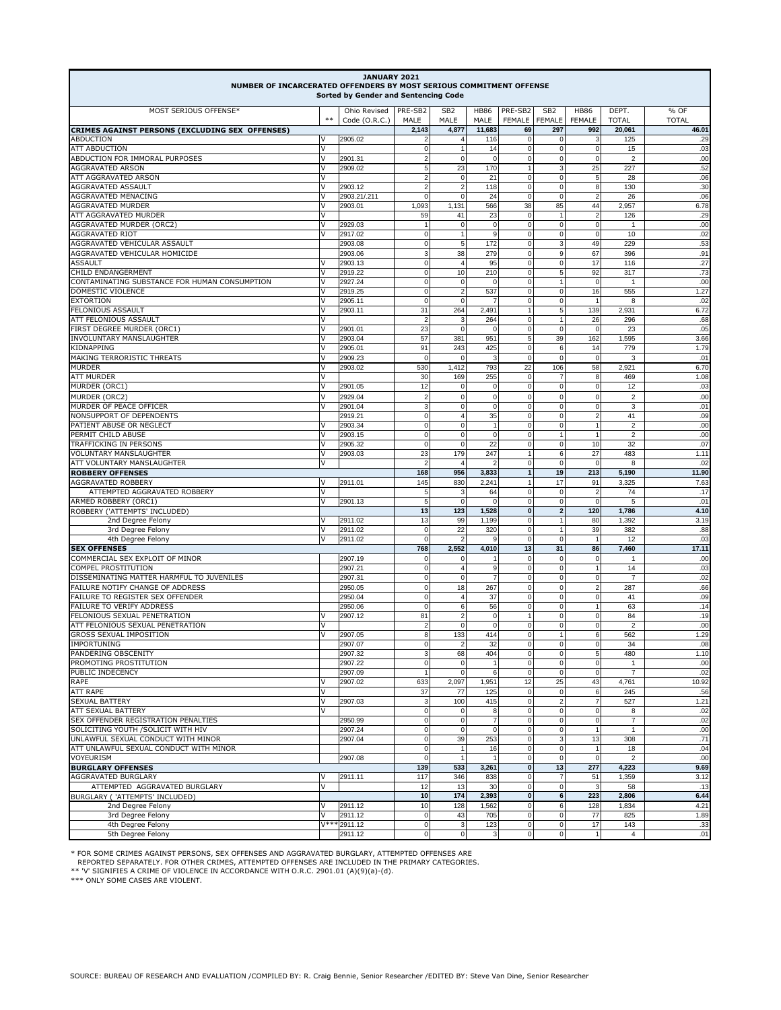| JANUARY 2021<br>NUMBER OF INCARCERATED OFFENDERS BY MOST SERIOUS COMMITMENT OFFENSE<br>Sorted by Gender and Sentencing Code |             |                               |                             |                                  |                         |                               |                                  |                                  |                         |                      |  |
|-----------------------------------------------------------------------------------------------------------------------------|-------------|-------------------------------|-----------------------------|----------------------------------|-------------------------|-------------------------------|----------------------------------|----------------------------------|-------------------------|----------------------|--|
| MOST SERIOUS OFFENSE*                                                                                                       | $***$       | Ohio Revised<br>Code (O.R.C.) | PRE-SB2<br>MALE             | SB <sub>2</sub><br>MALE          | <b>HB86</b><br>MALE     | PRE-SB2<br><b>FEMALE</b>      | SB <sub>2</sub><br><b>FEMALE</b> | <b>HB86</b><br><b>FEMALE</b>     | DEPT.<br><b>TOTAL</b>   | % OF<br><b>TOTAL</b> |  |
| CRIMES AGAINST PERSONS (EXCLUDING SEX OFFENSES)                                                                             |             |                               | 2,143                       | 4.877                            | 11,683                  | 69                            | 297                              | 992                              | 20.061                  | 46.01                |  |
| ABDUCTION                                                                                                                   | $\vee$      | 2905.02                       | $\overline{2}$              | $\vert$                          | 116                     | $\mathbf 0$                   | 0                                | 3                                | 125                     | .29                  |  |
| <b>ATT ABDUCTION</b><br>ABDUCTION FOR IMMORAL PURPOSES                                                                      | IV.<br>V    |                               | $\pmb{0}$<br>$\overline{2}$ | $\mathbf{1}$<br>$\overline{0}$   | 14<br>$\mathbf 0$       | $\mathbf 0$<br>$\mathbf 0$    | $\mathbf 0$<br>0                 | $\pmb{0}$<br>$\mathbf 0$         | 15<br>$\overline{2}$    | .03<br>.00           |  |
| AGGRAVATED ARSON                                                                                                            | v           | 2901.31<br>2909.02            | 5                           | 23                               | 170                     | $\overline{1}$                | 3                                | 25                               | 227                     | .52                  |  |
| ATT AGGRAVATED ARSON                                                                                                        | v           |                               | $\overline{c}$              | $\overline{0}$                   | 21                      | 0                             | 0                                | 5                                | 28                      | .06                  |  |
| <b>AGGRAVATED ASSAULT</b>                                                                                                   | v           | 2903.12                       | $\overline{2}$              | $\overline{2}$                   | 118                     | $\mathbf 0$                   | 0                                | 8                                | 130                     | .30                  |  |
| <b>AGGRAVATED MENACING</b>                                                                                                  | V           | 2903.21/.211                  | 0                           | $\overline{0}$                   | 24                      | $\mathbf 0$                   | 0                                | $\overline{2}$                   | 26                      | .06                  |  |
| AGGRAVATED MURDER                                                                                                           | v<br>ν      | 2903.01                       | 1,093                       | 1,131                            | 566                     | 38                            | 85                               | 44<br>$\overline{2}$             | 2,957                   | 6.78                 |  |
| ATT AGGRAVATED MURDER<br>AGGRAVATED MURDER (ORC2)                                                                           | V           | 2929.03                       | 59<br>$\overline{1}$        | 41<br>$\overline{0}$             | 23<br>0                 | $\Omega$<br>$\mathbf 0$       | $\mathbf 0$                      | $\mathbf 0$                      | 126<br>$\mathbf{1}$     | .29<br>.00           |  |
| <b>AGGRAVATED RIOT</b>                                                                                                      | V           | 2917.02                       | $\mathbf 0$                 | $\overline{1}$                   | 9                       | $\mathbf 0$                   | $\pmb{0}$                        | $\mathbf 0$                      | 10                      | .02                  |  |
| AGGRAVATED VEHICULAR ASSAULT                                                                                                |             | 2903.08                       | $\mathbf 0$                 | 5 <sub>5</sub>                   | 172                     | $\mathbf 0$                   | 3                                | 49                               | 229                     | .53                  |  |
| AGGRAVATED VEHICULAR HOMICIDE                                                                                               |             | 2903.06                       | 3                           | 38                               | 279                     | $\Omega$                      | 9                                | 67                               | 396                     | .91                  |  |
| ASSAULT                                                                                                                     | ν           | 2903.13                       | $\mathbf 0$                 | $\overline{4}$                   | 95                      | $\mathbf 0$                   | 0                                | 17                               | 116                     | .27                  |  |
| CHILD ENDANGERMENT<br>CONTAMINATING SUBSTANCE FOR HUMAN CONSUMPTION                                                         | V<br>ν      | 2919.22                       | $\mathbf 0$<br>$\mathbf 0$  | 10<br>$\overline{0}$             | 210<br>0                | $\mathbf 0$<br>0              | 5<br>1                           | 92<br>0                          | 317                     | .73<br>.00           |  |
| DOMESTIC VIOLENCE                                                                                                           | $\vee$      | 2927.24<br>2919.25            | $\mathbf 0$                 | $2 \vert$                        | 537                     | 0                             | $\pmb{0}$                        | 16                               | 1<br>555                | 1.27                 |  |
| EXTORTION                                                                                                                   | $\vee$      | 2905.11                       | $\mathbf 0$                 | $\mathbf{0}$                     | 7                       | 0                             | 0                                | $\overline{1}$                   | 8                       | .02                  |  |
| FELONIOUS ASSAULT                                                                                                           | V           | 2903.11                       | 31                          | 264                              | 2,491                   | 1                             | 5                                | 139                              | 2,931                   | 6.72                 |  |
| ATT FELONIOUS ASSAULT                                                                                                       | v           |                               | $\overline{2}$              | 3                                | 264                     | $\Omega$                      |                                  | 26                               | 296                     | .68                  |  |
| FIRST DEGREE MURDER (ORC1)                                                                                                  | $\vee$      | 2901.01                       | 23                          | $\Omega$                         | $\overline{0}$          | $\mathbf 0$                   | $\mathbf 0$                      | $\mathbf 0$                      | 23                      | .05                  |  |
| INVOLUNTARY MANSLAUGHTER<br>KIDNAPPING                                                                                      | $\vee$<br>V | 2903.04<br>2905.01            | 57<br>91                    | 381<br>243                       | 951<br>425              | 5<br>$\mathbf 0$              | 39<br>6                          | 162<br>14                        | 1,595<br>779            | 3.66<br>1.79         |  |
| <b>MAKING TERRORISTIC THREATS</b>                                                                                           | $\vee$      | 2909.23                       | $\mathbf 0$                 | $\mathbf 0$                      | 3                       | $\mathbf 0$                   | $\mathbf 0$                      | $\mathbf 0$                      | 3                       | .01                  |  |
| MURDER                                                                                                                      | V           | 2903.02                       | 530                         | 1,412                            | 793                     | 22                            | 106                              | 58                               | 2,921                   | 6.70                 |  |
| <b>ATT MURDER</b>                                                                                                           | $\vee$      |                               | 30                          | 169                              | 255                     | $\mathbf 0$                   | $\overline{7}$                   | 8                                | 469                     | 1.08                 |  |
| MURDER (ORC1)                                                                                                               | IV.         | 2901.05                       | 12                          | $\overline{0}$                   | 0                       | $\mathbf 0$                   | $\mathbf 0$                      | $\mathbf 0$                      | 12                      | .03                  |  |
| MURDER (ORC2)                                                                                                               | V           | 2929.04                       | $\overline{2}$              | $\circ$                          | $\pmb{0}$               | $\mathbf 0$                   | $\mathsf 0$                      | $\mathbf 0$                      | $\overline{2}$          | .00                  |  |
| MURDER OF PEACE OFFICER                                                                                                     | $\vee$      | 2901.04                       | 3                           | $\overline{0}$                   | $\mathbf 0$             | $\Omega$                      | $\mathsf 0$                      | $\mathbf 0$                      | 3                       | .01                  |  |
| NONSUPPORT OF DEPENDENTS<br>PATIENT ABUSE OR NEGLECT                                                                        | V           | 2919.21<br>2903.34            | $\mathbf 0$<br>$\mathbf 0$  | $\overline{4}$<br>$\overline{0}$ | 35<br>$\overline{1}$    | $\mathbf 0$<br>$\mathbf 0$    | 0<br>0                           | $\overline{2}$<br>$\overline{1}$ | 41<br>$\overline{2}$    | .09<br>.00           |  |
| PERMIT CHILD ABUSE                                                                                                          | ν           | 2903.15                       | $\mathbf 0$                 | $\mathbf{0}$                     | $\mathbf 0$             | 0                             | 1                                | $\overline{1}$                   | $\overline{2}$          | .00                  |  |
| TRAFFICKING IN PERSONS                                                                                                      | ν           | 2905.32                       | $\mathbf 0$                 | $\mathbf{0}$                     | 22                      | $\mathbf 0$                   | $\mathsf 0$                      | 10                               | 32                      | .07                  |  |
| VOLUNTARY MANSLAUGHTER                                                                                                      | $\vee$      | 2903.03                       | 23                          | 179                              | 247                     | 1                             | 6                                | 27                               | 483                     | 1.11                 |  |
| ATT VOLUNTARY MANSLAUGHTER                                                                                                  | $\vee$      |                               | $\overline{2}$              | $\overline{4}$                   | $\overline{2}$          | $\mathbf 0$                   | $\pmb{0}$                        | $\mathbf 0$                      | 8                       | .02                  |  |
| <b>ROBBERY OFFENSES</b>                                                                                                     | lV          |                               | 168                         | 956                              | 3,833                   | $\mathbf{1}$<br>1             | 19                               | 213                              | 5,190                   | 11.90                |  |
| AGGRAVATED ROBBERY<br>ATTEMPTED AGGRAVATED ROBBERY                                                                          | $\vee$      | 2911.01                       | 145<br>5                    | 830<br>3                         | 2,241<br>64             | $\mathbf 0$                   | 17<br>$\mathbf 0$                | 91<br>$\overline{2}$             | 3,325<br>74             | 7.63<br>.17          |  |
| ARMED ROBBERY (ORC1)                                                                                                        | $\vee$      | 2901.13                       | 5                           | $\overline{0}$                   | $\overline{0}$          | 0                             | $\pmb{0}$                        | $\mathbf 0$                      | 5                       | .01                  |  |
| ROBBERY ('ATTEMPTS' INCLUDED)                                                                                               |             |                               | 13                          | 123                              | 1,528                   | $\mathbf{0}$                  | $\mathbf 2$                      | 120                              | 1,786                   | 4.10                 |  |
| 2nd Degree Felony                                                                                                           | IV          | 2911.02                       | 13                          | 99                               | 1,199                   | $\mathbf 0$                   | $\mathbf{1}$                     | 80                               | 1,392                   | 3.19                 |  |
| 3rd Degree Felony                                                                                                           | $\vee$      | 2911.02                       | $\mathbf 0$                 | 22                               | 320                     | $\mathbf 0$                   | $\mathbf{1}$                     | 39                               | 382                     | .88                  |  |
| 4th Degree Felony                                                                                                           | l V         | 2911.02                       | $\mathbf 0$                 | $\overline{2}$                   | 9                       | $\mathbf 0$                   | $\mathbf 0$                      | $\overline{1}$                   | 12                      | .03                  |  |
| <b>SEX OFFENSES</b><br>COMMERCIAL SEX EXPLOIT OF MINOR                                                                      |             | 2907.19                       | 768<br>$\mathbf 0$          | 2,552<br>$\overline{0}$          | 4,010<br>$\overline{1}$ | 13<br>$\mathbf 0$             | 31<br>$\mathbf 0$                | 86<br>$\pmb{0}$                  | 7,460<br>$\mathbf{1}$   | 17.11<br>.00         |  |
| COMPEL PROSTITUTION                                                                                                         |             | 2907.21                       | $\mathbf 0$                 | $\overline{4}$                   | 9                       | $\mathbf 0$                   | $\mathsf 0$                      | $\overline{1}$                   | 14                      | .03                  |  |
| DISSEMINATING MATTER HARMFUL TO JUVENILES                                                                                   |             | 2907.31                       | $\mathbf 0$                 | $\overline{0}$                   | $\overline{7}$          | 0                             | $\pmb{0}$                        | $\pmb{0}$                        | $\overline{7}$          | .02                  |  |
| FAILURE NOTIFY CHANGE OF ADDRESS                                                                                            |             | 2950.05                       | $\mathbf 0$                 | 18                               | 267                     | $\Omega$                      | 0                                | $\overline{2}$                   | 287                     | .66                  |  |
| FAILURE TO REGISTER SEX OFFENDER                                                                                            |             | 2950.04                       | $\mathbf 0$                 | $\vert$                          | 37                      | $\mathbf 0$                   | 0                                | $\mathbf 0$                      | 41                      | .09                  |  |
| FAILURE TO VERIFY ADDRESS                                                                                                   |             | 2950.06                       | $\mathbf 0$                 | 6                                | 56                      | $\mathbf 0$                   | 0                                | $\overline{1}$                   | 63                      | .14                  |  |
| FELONIOUS SEXUAL PENETRATION<br>ATT FELONIOUS SEXUAL PENETRATION                                                            | ν<br>$\vee$ | 2907.12                       | 81<br>$\overline{2}$        | $\overline{2}$<br>$\Omega$       | 0<br>$\mathbf 0$        | $\overline{1}$<br>$\mathbf 0$ | 0<br>0                           | $\mathbf 0$<br>$\mathbf 0$       | 84<br>$\overline{2}$    | .19<br>.00           |  |
| GROSS SEXUAL IMPOSITION                                                                                                     | V           | 2907.05                       | 8                           | 133                              | 414                     | $\mathbf 0$                   | 1                                | 6                                | 562                     | 1.29                 |  |
| IMPORTUNING                                                                                                                 |             | 2907.07                       | U                           |                                  | 32                      | 0                             | 0                                | U                                | 34                      | .u8                  |  |
| PANDERING OBSCENITY                                                                                                         |             | 2907.32                       | 3                           | 68                               | 404                     | $\pmb{0}$                     | $\mathbf 0$                      | 5                                | 480                     | 1.10                 |  |
| PROMOTING PROSTITUTION                                                                                                      |             | 2907.22                       | $\mathbf 0$                 | $\overline{0}$                   |                         | $\mathbf 0$                   | $\mathsf 0$                      | $\pmb{0}$                        | 1                       | .00                  |  |
| PUBLIC INDECENCY<br>RAPE                                                                                                    | v           | 2907.09                       | $\mathbf{1}$<br>633         | $\overline{0}$<br>2,097          | 6                       | $\mathbf 0$                   | $\mathbf 0$<br>25                | $\pmb{0}$<br>43                  | $\overline{7}$<br>4,761 | .02<br>10.92         |  |
| ATT RAPE                                                                                                                    | V           | 2907.02                       | 37                          | 77                               | 1,951<br>125            | 12<br>$\mathbf 0$             | $\mathbf 0$                      | 6                                | 245                     | .56                  |  |
| SEXUAL BATTERY                                                                                                              | V           | 2907.03                       | 3                           | 100                              | 415                     | $\mathbf 0$                   | $\overline{\mathbf{2}}$          | $\overline{7}$                   | 527                     | 1.21                 |  |
| ATT SEXUAL BATTERY                                                                                                          | V           |                               | $\mathbf 0$                 | $\circ$                          | 8                       | $\mathbf 0$                   | $\mathbf 0$                      | $\mathbf 0$                      | 8                       | .02                  |  |
| SEX OFFENDER REGISTRATION PENALTIES                                                                                         |             | 2950.99                       | $\pmb{0}$                   | $\circ$                          | $\overline{7}$          | $\mathbf 0$                   | $\pmb{0}$                        | $\pmb{0}$                        | $\overline{7}$          | .02                  |  |
| SOLICITING YOUTH /SOLICIT WITH HIV                                                                                          |             | 2907.24                       | $\pmb{0}$                   | $\circ$                          | $\mathbf 0$             | $\mathbf 0$                   | $\mathbf 0$                      | $\mathbf{1}$                     | $\mathbf{1}$            | .00                  |  |
| UNLAWFUL SEXUAL CONDUCT WITH MINOR                                                                                          |             | 2907.04                       | $\mathbf 0$                 | 39                               | 253                     | $\mathbf 0$                   | $\mathsf 3$                      | 13                               | 308                     | .71                  |  |
| ATT UNLAWFUL SEXUAL CONDUCT WITH MINOR<br>VOYEURISM                                                                         |             | 2907.08                       | $\pmb{0}$<br>$\mathbf 0$    | 1<br>$\mathbf{1}$                | 16<br>$\overline{1}$    | 0<br>$\mathbf 0$              | $\pmb{0}$<br>$\pmb{0}$           | $\mathbf{1}$<br>$\pmb{0}$        | 18<br>$\overline{2}$    | .04<br>.00           |  |
| <b>BURGLARY OFFENSES</b>                                                                                                    |             |                               | 139                         | 533                              | 3,261                   | $\mathbf{0}$                  | 13                               | 277                              | 4,223                   | 9.69                 |  |
| <b>AGGRAVATED BURGLARY</b>                                                                                                  | V           | 2911.11                       | 117                         | 346                              | 838                     | $\mathbf 0$                   | $\overline{7}$                   | 51                               | 1,359                   | 3.12                 |  |
| ATTEMPTED AGGRAVATED BURGLARY                                                                                               | V           |                               | 12                          | 13                               | 30                      | 0                             | $\pmb{0}$                        | 3                                | 58                      | .13                  |  |
| BURGLARY ('ATTEMPTS' INCLUDED)                                                                                              |             |                               | 10                          | 174                              | 2,393                   | $\pmb{0}$                     | 6                                | 223                              | 2,806                   | 6.44                 |  |
| 2nd Degree Felony                                                                                                           | ν           | 2911.12                       | 10                          | 128                              | 1,562                   | $\mathbf 0$                   | 6                                | 128                              | 1,834                   | 4.21                 |  |
| 3rd Degree Felony<br>4th Degree Felony                                                                                      | V           | 2911.12<br>$V***$ 2911.12     | $\pmb{0}$<br>$\pmb{0}$      | 43<br>$\sqrt{3}$                 | 705<br>123              | $\mathbf 0$<br>0              | $\pmb{0}$<br>$\pmb{0}$           | 77<br>17                         | 825<br>143              | 1.89<br>.33          |  |
| 5th Degree Felony                                                                                                           |             | 2911.12                       | $\pmb{0}$                   | $\overline{0}$                   | 3                       | $\mathbf 0$                   | 0                                | $\overline{1}$                   | $\overline{4}$          | .01                  |  |
|                                                                                                                             |             |                               |                             |                                  |                         |                               |                                  |                                  |                         |                      |  |

\* FOR SOME CRIMES AGAINST PERSONS, SEX OFFENSES AND AGGRAVATED BURGLARY, ATTEMPTED OFFENSES ARE<br>| REPORTED SEPARATELY. FOR OTHER CRIMES, ATTEMPTED OFFENSES ARE INCLUDED IN THE PRIMARY CATEGORIES.<br>\*\* 'V' SIGNIFIES A CRIME O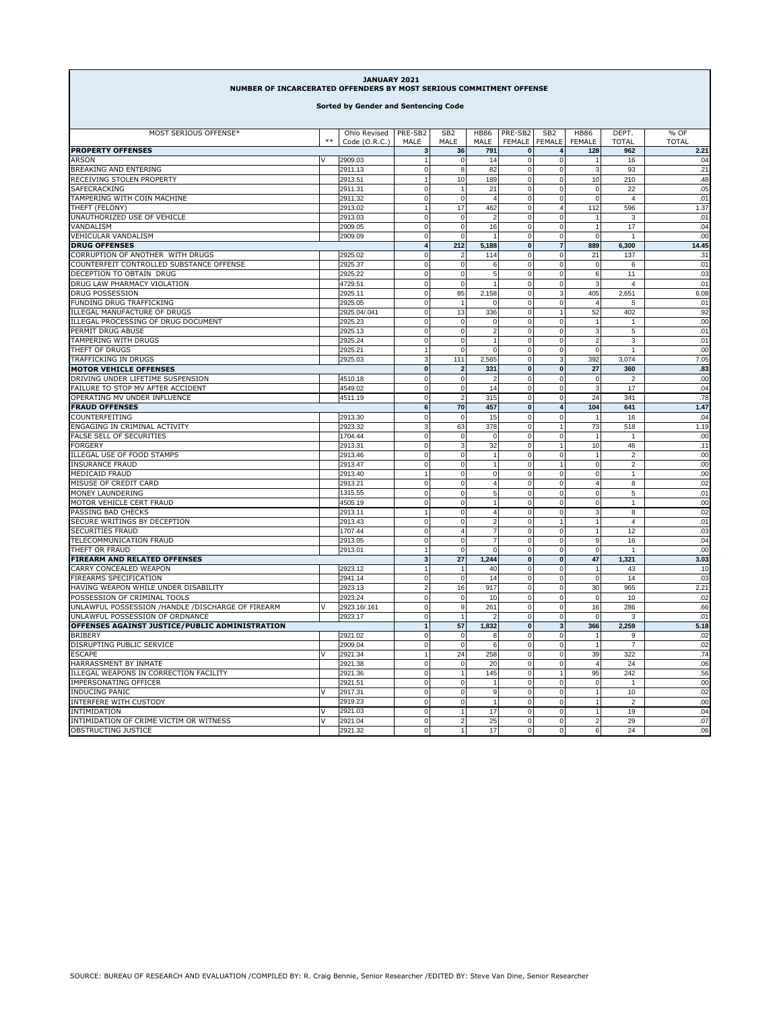| Sorted by Gender and Sentencing Code<br>MOST SERIOUS OFFENSE*<br>Ohio Revised<br>PRE-SB2<br>SB <sub>2</sub><br><b>HB86</b><br>PRE-SB2<br>SB <sub>2</sub><br><b>HB86</b><br>DEPT.<br>% OF<br>$***$<br>Code (O.R.C.)<br>MALE<br>MALE<br>MALE<br><b>FEMALE</b><br><b>FEMALE</b><br><b>FEMALE</b><br><b>TOTAL</b><br><b>TOTAL</b><br>2.21<br>3<br>36<br>791<br>$\bf{0}$<br>$\overline{4}$<br>128<br>962<br>2909.03<br>$\overline{0}$<br>IV.<br>$\overline{1}$<br>$\Omega$<br>14<br>$\overline{0}$<br>$\overline{1}$<br>16<br>.04<br><b>BREAKING AND ENTERING</b><br>2911.13<br>$\pmb{0}$<br>8<br>82<br>$\mathbf 0$<br>$\mathbf 0$<br>$\mathbf{3}$<br>93<br>.21<br>RECEIVING STOLEN PROPERTY<br>2913.51<br>10<br>189<br>$\pmb{0}$<br>$\circ$<br>10<br>210<br>.48<br>$\mathbf{1}$<br>SAFECRACKING<br>2911.31<br>$\pmb{0}$<br>21<br>$\pmb{0}$<br>$\mathbf 0$<br>22<br>.05<br>0<br>TAMPERING WITH COIN MACHINE<br>2911.32<br>$\pmb{0}$<br>$\mathbf 0$<br>$\overline{4}$<br>$\pmb{0}$<br>$\mathbf 0$<br>$\mathbf 0$<br>$\overline{4}$<br>.01<br>17<br>$\overline{0}$<br>1.37<br>THEFT (FELONY)<br>$\overline{1}$<br>462<br>112<br>596<br>2913.02<br>$4 \overline{ }$<br>UNAUTHORIZED USE OF VEHICLE<br>2913.03<br>$\mathbf 0$<br>$\overline{0}$<br>$\overline{2}$<br>$\mathbf 0$<br>$\overline{0}$<br>.01<br>$\overline{1}$<br>3<br>VANDALISM<br>2909.05<br>$\pmb{0}$<br>$\overline{0}$<br>16<br>0<br>$\overline{0}$<br>17<br>.04<br>$\mathbf{1}$<br>2909.09<br>$\mathbf 0$<br>$\Omega$<br>$\mathbf 0$<br>$\overline{0}$<br>$\mathbf 0$<br>.00<br>$\overline{7}$<br>$\overline{\mathbf{4}}$<br>212<br>5,188<br>$\mathbf{0}$<br>889<br>6,300<br>14.45<br>CORRUPTION OF ANOTHER WITH DRUGS<br>2925.02<br>$\pmb{0}$<br>114<br>$\mathbf 0$<br>$\mathbf 0$<br>137<br>.31<br>21<br>COUNTERFEIT CONTROLLED SUBSTANCE OFFENSE<br>$\pmb{0}$<br>.01<br>2925.37<br>$\mathbf 0$<br>6<br>$\mathbf 0$<br>$\Omega$<br>$\mathbf 0$<br>6<br>DECEPTION TO OBTAIN DRUG<br>$\pmb{0}$<br>$\mathbf 0$<br>5<br>$\mathbf 0$<br>6<br>.03<br>2925.22<br>$\Omega$<br>11<br>DRUG LAW PHARMACY VIOLATION<br>$\mathbf 0$<br>$\Omega$<br>$\mathbf 0$<br>$\circ$<br>3<br>.01<br>4729.51<br>$\overline{4}$<br>$\mathbf{1}$<br>DRUG POSSESSION<br>85<br>2,158<br>2925.11<br>0<br>0<br>3 <sup>1</sup><br>405<br>2,651<br>6.08<br>FUNDING DRUG TRAFFICKING<br>$\pmb{0}$<br>2925.05<br>$\overline{1}$<br>$\Omega$<br>$\mathbf 0$<br>$\overline{0}$<br>$\overline{4}$<br>5<br>.01<br>ILLEGAL MANUFACTURE OF DRUGS<br>2925.04/.041<br>$\pmb{0}$<br>13<br>336<br>$\mathbf 0$<br>$\mathbf{1}$<br>52<br>402<br>.92<br>ILLEGAL PROCESSING OF DRUG DOCUMENT<br>$\pmb{0}$<br>$\mathbf 0$<br>.00<br>2925.23<br>$\pmb{0}$<br>$\mathbf 0$<br>$\overline{1}$<br>0<br>$\mathbf{1}$<br>PERMIT DRUG ABUSE<br>2925.13<br>$\pmb{0}$<br>$\Omega$<br>$\overline{2}$<br>$\pmb{0}$<br>$\mathbf 0$<br>3<br>5<br>.01<br>TAMPERING WITH DRUGS<br>2925.24<br>$\pmb{0}$<br>$\overline{0}$<br>$\mathbf{1}$<br>$\mathbf 0$<br>$\mathsf 0$<br>$\overline{2}$<br>3<br>.01<br>THEFT OF DRUGS<br>$\mathbf 0$<br>$\mathbf 0$<br>$\mathbf 0$<br>$\pmb{0}$<br>.00<br>2925.21<br>$\overline{1}$<br>$\mathbf 0$<br>$\overline{1}$<br>TRAFFICKING IN DRUGS<br>3<br>111<br>2,565<br>$\mathbf 0$<br>7.05<br>2925.03<br>3<br>392<br>3,074<br><b>MOTOR VEHICLE OFFENSES</b><br>$\pmb{0}$<br>331<br>$\pmb{0}$<br>27<br>360<br>.83<br>$\overline{2}$<br>$\bf{0}$<br>DRIVING UNDER LIFETIME SUSPENSION<br>4510.18<br>$\pmb{0}$<br>$\mathbf 0$<br>$\overline{2}$<br>$\mathbf 0$<br>$\mathbf 0$<br>$\mathbf 0$<br>$\overline{2}$<br>.00<br>14<br>$\overline{\mathbf{3}}$<br>FAILURE TO STOP MV AFTER ACCIDENT<br>4549.02<br>$\pmb{0}$<br>$\mathbf 0$<br>$\mathbf 0$<br>$\mathbf 0$<br>17<br>.04<br>OPERATING MV UNDER INFLUENCE<br>4511.19<br>0<br>$\overline{\phantom{a}}$<br>315<br>$\mathbf 0$<br>$\mathbf 0$<br>24<br>341<br>.78<br><b>FRAUD OFFENSES</b><br>6<br>70<br>457<br>$\pmb{0}$<br>$\overline{\mathbf{4}}$<br>104<br>641<br>1.47<br>COUNTERFEITING<br>$\mathbf 0$<br>2913.30<br>$\pmb{0}$<br>$\overline{0}$<br>.04<br>$\mathbf 0$<br>15<br>16<br>ENGAGING IN CRIMINAL ACTIVITY<br>378<br>1.19<br>2923.32<br>3<br>63<br>0<br>73<br>518<br>1<br>FALSE SELL OF SECURITIES<br>1704.44<br>$\pmb{0}$<br>$\mathbf 0$<br>$\circ$<br>$\Omega$<br>$\mathbf 0$<br>$\overline{1}$<br>$\overline{1}$<br>.00<br>2913.31<br>$\pmb{0}$<br>$\overline{3}$<br>32<br>$\mathbf 0$<br>$\mathbf{1}$<br>10<br>46<br>.11<br>$\pmb{0}$<br>$\circ$<br>$\mathbf{1}$<br>.00<br>$\overline{0}$<br>$\pmb{0}$<br>2913.46<br>1<br>$\overline{\mathbf{c}}$<br>2913.47<br>$\pmb{0}$<br>$\overline{0}$<br>$\mathbf{1}$<br>$\pmb{0}$<br>$\mathbf{1}$<br>$\pmb{0}$<br>$\overline{2}$<br>.00<br>MEDICAID FRAUD<br>2913.40<br>$\mathbf 0$<br>0<br>$\mathbf 0$<br>$\mathbf 0$<br>$\mathbf 0$<br>.00<br>$\mathbf{1}$<br>$\mathbf{1}$<br>MISUSE OF CREDIT CARD<br>$\mathbf 0$<br>$\overline{0}$<br>$\overline{\mathbf{4}}$<br>$\mathbf 0$<br>4<br>.02<br>2913.21<br>$\Omega$<br>8<br>5<br>.01<br>MONEY LAUNDERING<br>$\pmb{0}$<br>$\overline{0}$<br>$\mathbf 0$<br>$\circ$<br>$\mathbf 0$<br>1315.55<br>5<br>MOTOR VEHICLE CERT FRAUD<br>4505.19<br>$\pmb{0}$<br>$\mathbf{0}$<br>$\mathbf 0$<br>.00<br>$\mathbf{1}$<br>$\mathbf 0$<br>$\mathbf 0$<br>$\mathbf{1}$<br>PASSING BAD CHECKS<br>2913.11<br>$\overline{1}$<br>$\Omega$<br>$\overline{4}$<br>$\mathbf 0$<br>$\overline{0}$<br>3<br>8<br>.02<br>$\overline{2}$<br>$\overline{1}$<br>.01<br>SECURE WRITINGS BY DECEPTION<br>$\pmb{0}$<br>$\mathbf 0$<br>$\mathbf 0$<br>$\mathbf{1}$<br>$\overline{4}$<br>2913.43<br><b>SECURITIES FRAUD</b><br>1707.44<br>$\mathbf 0$<br>$\overline{4}$<br>$\overline{7}$<br>$\mathbf 0$<br>$\mathbf 0$<br>$\mathbf{1}$<br>12<br>.03<br>TELECOMMUNICATION FRAUD<br>$\pmb{0}$<br>$\mathsf g$<br>2913.05<br>$\Omega$<br>$\overline{7}$<br>$\mathbf 0$<br>$\Omega$<br>16<br>.04<br>THEFT OR FRAUD<br>2913.01<br>$\Omega$<br>$\Omega$<br>$\mathbf 0$<br>$\mathsf 0$<br>$\mathbf 0$<br>.00<br>$\overline{1}$<br>1,244<br>3<br>27<br>$\pmb{0}$<br>47<br>1,321<br>3.03<br>$\bf{0}$<br>CARRY CONCEALED WEAPON<br>2923.12<br>$\mathbf{1}$<br>40<br>0<br>$\overline{0}$<br>43<br>.10<br>$\mathbf{1}$<br>$\mathbf{1}$<br>FIREARMS SPECIFICATION<br>$\pmb{0}$<br>$\circ$<br>.03<br>2941.14<br>14<br>0<br>$\overline{0}$<br>$\pmb{0}$<br>14<br>HAVING WEAPON WHILE UNDER DISABILITY<br>2923.13<br>$\overline{2}$<br>16<br>917<br>$\mathbf 0$<br>$\circ$<br>30<br>965<br>2.21<br>POSSESSION OF CRIMINAL TOOLS<br>$\pmb{0}$<br>10<br>$\pmb{0}$<br>$\pmb{0}$<br>$\pmb{0}$<br>$\mathbf 0$<br>.02<br>2923.24<br>10<br>UNLAWFUL POSSESSION /HANDLE /DISCHARGE OF FIREARM<br>v<br>261<br>2923.16/.161<br>0<br>9<br>0<br>$\mathbf 0$<br>16<br>286<br>.66<br>UNLAWFUL POSSESSION OF ORDNANCE<br>$\pmb{0}$<br>.01<br>2923.17<br>$\overline{2}$<br>$\mathbf 0$<br>$\mathsf 0$<br>$\pmb{0}$<br>3<br>OFFENSES AGAINST JUSTICE/PUBLIC ADMINISTRATION<br>$\overline{1}$<br>57<br>1,832<br>$\pmb{0}$<br>366<br>2,259<br>5.18<br>3 <sup>1</sup><br><b>BRIBERY</b><br>$\pmb{0}$<br>0<br>.02<br>2921.02<br>$\Omega$<br>8<br>$\overline{0}$<br>$\mathbf{1}$<br>9<br>DISRUPTING PUBLIC SERVICE<br>2909.04<br>$\pmb{0}$<br>$\overline{0}$<br>0<br>$\overline{0}$<br>.02<br>6<br>$\overline{1}$<br>$\overline{7}$<br><b>ESCAPE</b><br>V<br>2921.34<br>24<br>258<br>$\mathbf 0$<br>$\overline{0}$<br>39<br>322<br>.74<br>HARRASSMENT BY INMATE<br>$\mathbf 0$<br>$\overline{0}$<br>$\overline{0}$<br>24<br>.06<br>2921.38<br>$\Omega$<br>20<br>$\overline{4}$<br>ILLEGAL WEAPONS IN CORRECTION FACILITY<br>.56<br>$\pmb{0}$<br>145<br>$\pmb{0}$<br>$\mathbf{1}$<br>95<br>242<br>2921.36<br>IMPERSONATING OFFICER<br>2921.51<br>$\pmb{0}$<br>$\mathbf 0$<br>$\pmb{0}$<br>$\mathbf 0$<br>.00<br>1<br>$\Omega$<br>$\overline{1}$<br><b>INDUCING PANIC</b><br>IV.<br>2917.31<br>$\pmb{0}$<br>$\mathbf 0$<br>9<br>$\pmb{0}$<br>$\mathbf 0$<br>1<br>10<br>.02<br>$\overline{0}$<br>.00<br>INTERFERE WITH CUSTODY<br>$\overline{0}$<br>$\mathbf 0$<br>$\mathbf{1}$<br>2919.23<br>$\mathbf{1}$<br>$\Omega$<br>$\overline{2}$<br>INTIMIDATION<br>2921.03<br>$\pmb{0}$<br>$\mathbf{1}$<br>17<br>$\mathbf 0$<br>$\overline{0}$<br>$\mathbf{1}$<br>19<br>.04<br>V<br>INTIMIDATION OF CRIME VICTIM OR WITNESS<br>2<br>l V<br>2921.04<br>$\pmb{0}$<br>25<br>$\Omega$<br>$\Omega$<br>$\overline{2}$<br>29<br>.07<br>2921.32<br>$\pmb{0}$<br>1<br>17<br>$\overline{0}$<br>$\overline{0}$<br>6<br>24<br>.06 | JANUARY 2021<br>NUMBER OF INCARCERATED OFFENDERS BY MOST SERIOUS COMMITMENT OFFENSE |  |  |  |  |  |  |  |  |  |  |
|--------------------------------------------------------------------------------------------------------------------------------------------------------------------------------------------------------------------------------------------------------------------------------------------------------------------------------------------------------------------------------------------------------------------------------------------------------------------------------------------------------------------------------------------------------------------------------------------------------------------------------------------------------------------------------------------------------------------------------------------------------------------------------------------------------------------------------------------------------------------------------------------------------------------------------------------------------------------------------------------------------------------------------------------------------------------------------------------------------------------------------------------------------------------------------------------------------------------------------------------------------------------------------------------------------------------------------------------------------------------------------------------------------------------------------------------------------------------------------------------------------------------------------------------------------------------------------------------------------------------------------------------------------------------------------------------------------------------------------------------------------------------------------------------------------------------------------------------------------------------------------------------------------------------------------------------------------------------------------------------------------------------------------------------------------------------------------------------------------------------------------------------------------------------------------------------------------------------------------------------------------------------------------------------------------------------------------------------------------------------------------------------------------------------------------------------------------------------------------------------------------------------------------------------------------------------------------------------------------------------------------------------------------------------------------------------------------------------------------------------------------------------------------------------------------------------------------------------------------------------------------------------------------------------------------------------------------------------------------------------------------------------------------------------------------------------------------------------------------------------------------------------------------------------------------------------------------------------------------------------------------------------------------------------------------------------------------------------------------------------------------------------------------------------------------------------------------------------------------------------------------------------------------------------------------------------------------------------------------------------------------------------------------------------------------------------------------------------------------------------------------------------------------------------------------------------------------------------------------------------------------------------------------------------------------------------------------------------------------------------------------------------------------------------------------------------------------------------------------------------------------------------------------------------------------------------------------------------------------------------------------------------------------------------------------------------------------------------------------------------------------------------------------------------------------------------------------------------------------------------------------------------------------------------------------------------------------------------------------------------------------------------------------------------------------------------------------------------------------------------------------------------------------------------------------------------------------------------------------------------------------------------------------------------------------------------------------------------------------------------------------------------------------------------------------------------------------------------------------------------------------------------------------------------------------------------------------------------------------------------------------------------------------------------------------------------------------------------------------------------------------------------------------------------------------------------------------------------------------------------------------------------------------------------------------------------------------------------------------------------------------------------------------------------------------------------------------------------------------------------------------------------------------------------------------------------------------------------------------------------------------------------------------------------------------------------------------------------------------------------------------------------------------------------------------------------------------------------------------------------------------------------------------------------------------------------------------------------------------------------------------------------------------------------------------------------------------------------------------------------------------------------------------------------------------------------------------------------------------------------------------------------------------------------------------------------------------------------------------------------------------------------------------------------------------------------------------------------------------------------------------------------------------------------------------------------------------------------------------------------------------------------------------------------------------------------------------------------------------------------------------------------------------------------------------------------------------------------------------------------------------------------------------------------------------------------------------------------------------------------------------------------------------------------------------------------------------------------------------------------------------------------------------------------------------------------------------------------------------------------------------------------------------------------------------------------------------------------------------------------------------------------------------------------------------------------------------------------------------------------------------------------------------------------------------------------------------------------------------------------------------------------------------------------------------------------------------------------------------------------------------------------------------------------------------------------------------------------------------------------------------------------------------------------------------------------------------------------------------------------------------------------------------------------------------------------------------------------------------------------------------------------------------------------|-------------------------------------------------------------------------------------|--|--|--|--|--|--|--|--|--|--|
|                                                                                                                                                                                                                                                                                                                                                                                                                                                                                                                                                                                                                                                                                                                                                                                                                                                                                                                                                                                                                                                                                                                                                                                                                                                                                                                                                                                                                                                                                                                                                                                                                                                                                                                                                                                                                                                                                                                                                                                                                                                                                                                                                                                                                                                                                                                                                                                                                                                                                                                                                                                                                                                                                                                                                                                                                                                                                                                                                                                                                                                                                                                                                                                                                                                                                                                                                                                                                                                                                                                                                                                                                                                                                                                                                                                                                                                                                                                                                                                                                                                                                                                                                                                                                                                                                                                                                                                                                                                                                                                                                                                                                                                                                                                                                                                                                                                                                                                                                                                                                                                                                                                                                                                                                                                                                                                                                                                                                                                                                                                                                                                                                                                                                                                                                                                                                                                                                                                                                                                                                                                                                                                                                                                                                                                                                                                                                                                                                                                                                                                                                                                                                                                                                                                                                                                                                                                                                                                                                                                                                                                                                                                                                                                                                                                                                                                                                                                                                                                                                                                                                                                                                                                                                                                                                                                                                                                                                                                                                                                                                                                                                                                                                                                                                                                                                                                                                                                                                    |                                                                                     |  |  |  |  |  |  |  |  |  |  |
|                                                                                                                                                                                                                                                                                                                                                                                                                                                                                                                                                                                                                                                                                                                                                                                                                                                                                                                                                                                                                                                                                                                                                                                                                                                                                                                                                                                                                                                                                                                                                                                                                                                                                                                                                                                                                                                                                                                                                                                                                                                                                                                                                                                                                                                                                                                                                                                                                                                                                                                                                                                                                                                                                                                                                                                                                                                                                                                                                                                                                                                                                                                                                                                                                                                                                                                                                                                                                                                                                                                                                                                                                                                                                                                                                                                                                                                                                                                                                                                                                                                                                                                                                                                                                                                                                                                                                                                                                                                                                                                                                                                                                                                                                                                                                                                                                                                                                                                                                                                                                                                                                                                                                                                                                                                                                                                                                                                                                                                                                                                                                                                                                                                                                                                                                                                                                                                                                                                                                                                                                                                                                                                                                                                                                                                                                                                                                                                                                                                                                                                                                                                                                                                                                                                                                                                                                                                                                                                                                                                                                                                                                                                                                                                                                                                                                                                                                                                                                                                                                                                                                                                                                                                                                                                                                                                                                                                                                                                                                                                                                                                                                                                                                                                                                                                                                                                                                                                                                    |                                                                                     |  |  |  |  |  |  |  |  |  |  |
|                                                                                                                                                                                                                                                                                                                                                                                                                                                                                                                                                                                                                                                                                                                                                                                                                                                                                                                                                                                                                                                                                                                                                                                                                                                                                                                                                                                                                                                                                                                                                                                                                                                                                                                                                                                                                                                                                                                                                                                                                                                                                                                                                                                                                                                                                                                                                                                                                                                                                                                                                                                                                                                                                                                                                                                                                                                                                                                                                                                                                                                                                                                                                                                                                                                                                                                                                                                                                                                                                                                                                                                                                                                                                                                                                                                                                                                                                                                                                                                                                                                                                                                                                                                                                                                                                                                                                                                                                                                                                                                                                                                                                                                                                                                                                                                                                                                                                                                                                                                                                                                                                                                                                                                                                                                                                                                                                                                                                                                                                                                                                                                                                                                                                                                                                                                                                                                                                                                                                                                                                                                                                                                                                                                                                                                                                                                                                                                                                                                                                                                                                                                                                                                                                                                                                                                                                                                                                                                                                                                                                                                                                                                                                                                                                                                                                                                                                                                                                                                                                                                                                                                                                                                                                                                                                                                                                                                                                                                                                                                                                                                                                                                                                                                                                                                                                                                                                                                                                    | <b>PROPERTY OFFENSES</b>                                                            |  |  |  |  |  |  |  |  |  |  |
|                                                                                                                                                                                                                                                                                                                                                                                                                                                                                                                                                                                                                                                                                                                                                                                                                                                                                                                                                                                                                                                                                                                                                                                                                                                                                                                                                                                                                                                                                                                                                                                                                                                                                                                                                                                                                                                                                                                                                                                                                                                                                                                                                                                                                                                                                                                                                                                                                                                                                                                                                                                                                                                                                                                                                                                                                                                                                                                                                                                                                                                                                                                                                                                                                                                                                                                                                                                                                                                                                                                                                                                                                                                                                                                                                                                                                                                                                                                                                                                                                                                                                                                                                                                                                                                                                                                                                                                                                                                                                                                                                                                                                                                                                                                                                                                                                                                                                                                                                                                                                                                                                                                                                                                                                                                                                                                                                                                                                                                                                                                                                                                                                                                                                                                                                                                                                                                                                                                                                                                                                                                                                                                                                                                                                                                                                                                                                                                                                                                                                                                                                                                                                                                                                                                                                                                                                                                                                                                                                                                                                                                                                                                                                                                                                                                                                                                                                                                                                                                                                                                                                                                                                                                                                                                                                                                                                                                                                                                                                                                                                                                                                                                                                                                                                                                                                                                                                                                                                    | <b>ARSON</b>                                                                        |  |  |  |  |  |  |  |  |  |  |
|                                                                                                                                                                                                                                                                                                                                                                                                                                                                                                                                                                                                                                                                                                                                                                                                                                                                                                                                                                                                                                                                                                                                                                                                                                                                                                                                                                                                                                                                                                                                                                                                                                                                                                                                                                                                                                                                                                                                                                                                                                                                                                                                                                                                                                                                                                                                                                                                                                                                                                                                                                                                                                                                                                                                                                                                                                                                                                                                                                                                                                                                                                                                                                                                                                                                                                                                                                                                                                                                                                                                                                                                                                                                                                                                                                                                                                                                                                                                                                                                                                                                                                                                                                                                                                                                                                                                                                                                                                                                                                                                                                                                                                                                                                                                                                                                                                                                                                                                                                                                                                                                                                                                                                                                                                                                                                                                                                                                                                                                                                                                                                                                                                                                                                                                                                                                                                                                                                                                                                                                                                                                                                                                                                                                                                                                                                                                                                                                                                                                                                                                                                                                                                                                                                                                                                                                                                                                                                                                                                                                                                                                                                                                                                                                                                                                                                                                                                                                                                                                                                                                                                                                                                                                                                                                                                                                                                                                                                                                                                                                                                                                                                                                                                                                                                                                                                                                                                                                                    |                                                                                     |  |  |  |  |  |  |  |  |  |  |
|                                                                                                                                                                                                                                                                                                                                                                                                                                                                                                                                                                                                                                                                                                                                                                                                                                                                                                                                                                                                                                                                                                                                                                                                                                                                                                                                                                                                                                                                                                                                                                                                                                                                                                                                                                                                                                                                                                                                                                                                                                                                                                                                                                                                                                                                                                                                                                                                                                                                                                                                                                                                                                                                                                                                                                                                                                                                                                                                                                                                                                                                                                                                                                                                                                                                                                                                                                                                                                                                                                                                                                                                                                                                                                                                                                                                                                                                                                                                                                                                                                                                                                                                                                                                                                                                                                                                                                                                                                                                                                                                                                                                                                                                                                                                                                                                                                                                                                                                                                                                                                                                                                                                                                                                                                                                                                                                                                                                                                                                                                                                                                                                                                                                                                                                                                                                                                                                                                                                                                                                                                                                                                                                                                                                                                                                                                                                                                                                                                                                                                                                                                                                                                                                                                                                                                                                                                                                                                                                                                                                                                                                                                                                                                                                                                                                                                                                                                                                                                                                                                                                                                                                                                                                                                                                                                                                                                                                                                                                                                                                                                                                                                                                                                                                                                                                                                                                                                                                                    |                                                                                     |  |  |  |  |  |  |  |  |  |  |
|                                                                                                                                                                                                                                                                                                                                                                                                                                                                                                                                                                                                                                                                                                                                                                                                                                                                                                                                                                                                                                                                                                                                                                                                                                                                                                                                                                                                                                                                                                                                                                                                                                                                                                                                                                                                                                                                                                                                                                                                                                                                                                                                                                                                                                                                                                                                                                                                                                                                                                                                                                                                                                                                                                                                                                                                                                                                                                                                                                                                                                                                                                                                                                                                                                                                                                                                                                                                                                                                                                                                                                                                                                                                                                                                                                                                                                                                                                                                                                                                                                                                                                                                                                                                                                                                                                                                                                                                                                                                                                                                                                                                                                                                                                                                                                                                                                                                                                                                                                                                                                                                                                                                                                                                                                                                                                                                                                                                                                                                                                                                                                                                                                                                                                                                                                                                                                                                                                                                                                                                                                                                                                                                                                                                                                                                                                                                                                                                                                                                                                                                                                                                                                                                                                                                                                                                                                                                                                                                                                                                                                                                                                                                                                                                                                                                                                                                                                                                                                                                                                                                                                                                                                                                                                                                                                                                                                                                                                                                                                                                                                                                                                                                                                                                                                                                                                                                                                                                                    |                                                                                     |  |  |  |  |  |  |  |  |  |  |
|                                                                                                                                                                                                                                                                                                                                                                                                                                                                                                                                                                                                                                                                                                                                                                                                                                                                                                                                                                                                                                                                                                                                                                                                                                                                                                                                                                                                                                                                                                                                                                                                                                                                                                                                                                                                                                                                                                                                                                                                                                                                                                                                                                                                                                                                                                                                                                                                                                                                                                                                                                                                                                                                                                                                                                                                                                                                                                                                                                                                                                                                                                                                                                                                                                                                                                                                                                                                                                                                                                                                                                                                                                                                                                                                                                                                                                                                                                                                                                                                                                                                                                                                                                                                                                                                                                                                                                                                                                                                                                                                                                                                                                                                                                                                                                                                                                                                                                                                                                                                                                                                                                                                                                                                                                                                                                                                                                                                                                                                                                                                                                                                                                                                                                                                                                                                                                                                                                                                                                                                                                                                                                                                                                                                                                                                                                                                                                                                                                                                                                                                                                                                                                                                                                                                                                                                                                                                                                                                                                                                                                                                                                                                                                                                                                                                                                                                                                                                                                                                                                                                                                                                                                                                                                                                                                                                                                                                                                                                                                                                                                                                                                                                                                                                                                                                                                                                                                                                                    |                                                                                     |  |  |  |  |  |  |  |  |  |  |
|                                                                                                                                                                                                                                                                                                                                                                                                                                                                                                                                                                                                                                                                                                                                                                                                                                                                                                                                                                                                                                                                                                                                                                                                                                                                                                                                                                                                                                                                                                                                                                                                                                                                                                                                                                                                                                                                                                                                                                                                                                                                                                                                                                                                                                                                                                                                                                                                                                                                                                                                                                                                                                                                                                                                                                                                                                                                                                                                                                                                                                                                                                                                                                                                                                                                                                                                                                                                                                                                                                                                                                                                                                                                                                                                                                                                                                                                                                                                                                                                                                                                                                                                                                                                                                                                                                                                                                                                                                                                                                                                                                                                                                                                                                                                                                                                                                                                                                                                                                                                                                                                                                                                                                                                                                                                                                                                                                                                                                                                                                                                                                                                                                                                                                                                                                                                                                                                                                                                                                                                                                                                                                                                                                                                                                                                                                                                                                                                                                                                                                                                                                                                                                                                                                                                                                                                                                                                                                                                                                                                                                                                                                                                                                                                                                                                                                                                                                                                                                                                                                                                                                                                                                                                                                                                                                                                                                                                                                                                                                                                                                                                                                                                                                                                                                                                                                                                                                                                                    |                                                                                     |  |  |  |  |  |  |  |  |  |  |
|                                                                                                                                                                                                                                                                                                                                                                                                                                                                                                                                                                                                                                                                                                                                                                                                                                                                                                                                                                                                                                                                                                                                                                                                                                                                                                                                                                                                                                                                                                                                                                                                                                                                                                                                                                                                                                                                                                                                                                                                                                                                                                                                                                                                                                                                                                                                                                                                                                                                                                                                                                                                                                                                                                                                                                                                                                                                                                                                                                                                                                                                                                                                                                                                                                                                                                                                                                                                                                                                                                                                                                                                                                                                                                                                                                                                                                                                                                                                                                                                                                                                                                                                                                                                                                                                                                                                                                                                                                                                                                                                                                                                                                                                                                                                                                                                                                                                                                                                                                                                                                                                                                                                                                                                                                                                                                                                                                                                                                                                                                                                                                                                                                                                                                                                                                                                                                                                                                                                                                                                                                                                                                                                                                                                                                                                                                                                                                                                                                                                                                                                                                                                                                                                                                                                                                                                                                                                                                                                                                                                                                                                                                                                                                                                                                                                                                                                                                                                                                                                                                                                                                                                                                                                                                                                                                                                                                                                                                                                                                                                                                                                                                                                                                                                                                                                                                                                                                                                                    |                                                                                     |  |  |  |  |  |  |  |  |  |  |
|                                                                                                                                                                                                                                                                                                                                                                                                                                                                                                                                                                                                                                                                                                                                                                                                                                                                                                                                                                                                                                                                                                                                                                                                                                                                                                                                                                                                                                                                                                                                                                                                                                                                                                                                                                                                                                                                                                                                                                                                                                                                                                                                                                                                                                                                                                                                                                                                                                                                                                                                                                                                                                                                                                                                                                                                                                                                                                                                                                                                                                                                                                                                                                                                                                                                                                                                                                                                                                                                                                                                                                                                                                                                                                                                                                                                                                                                                                                                                                                                                                                                                                                                                                                                                                                                                                                                                                                                                                                                                                                                                                                                                                                                                                                                                                                                                                                                                                                                                                                                                                                                                                                                                                                                                                                                                                                                                                                                                                                                                                                                                                                                                                                                                                                                                                                                                                                                                                                                                                                                                                                                                                                                                                                                                                                                                                                                                                                                                                                                                                                                                                                                                                                                                                                                                                                                                                                                                                                                                                                                                                                                                                                                                                                                                                                                                                                                                                                                                                                                                                                                                                                                                                                                                                                                                                                                                                                                                                                                                                                                                                                                                                                                                                                                                                                                                                                                                                                                                    | <b>VEHICULAR VANDALISM</b>                                                          |  |  |  |  |  |  |  |  |  |  |
|                                                                                                                                                                                                                                                                                                                                                                                                                                                                                                                                                                                                                                                                                                                                                                                                                                                                                                                                                                                                                                                                                                                                                                                                                                                                                                                                                                                                                                                                                                                                                                                                                                                                                                                                                                                                                                                                                                                                                                                                                                                                                                                                                                                                                                                                                                                                                                                                                                                                                                                                                                                                                                                                                                                                                                                                                                                                                                                                                                                                                                                                                                                                                                                                                                                                                                                                                                                                                                                                                                                                                                                                                                                                                                                                                                                                                                                                                                                                                                                                                                                                                                                                                                                                                                                                                                                                                                                                                                                                                                                                                                                                                                                                                                                                                                                                                                                                                                                                                                                                                                                                                                                                                                                                                                                                                                                                                                                                                                                                                                                                                                                                                                                                                                                                                                                                                                                                                                                                                                                                                                                                                                                                                                                                                                                                                                                                                                                                                                                                                                                                                                                                                                                                                                                                                                                                                                                                                                                                                                                                                                                                                                                                                                                                                                                                                                                                                                                                                                                                                                                                                                                                                                                                                                                                                                                                                                                                                                                                                                                                                                                                                                                                                                                                                                                                                                                                                                                                                    | <b>DRUG OFFENSES</b>                                                                |  |  |  |  |  |  |  |  |  |  |
|                                                                                                                                                                                                                                                                                                                                                                                                                                                                                                                                                                                                                                                                                                                                                                                                                                                                                                                                                                                                                                                                                                                                                                                                                                                                                                                                                                                                                                                                                                                                                                                                                                                                                                                                                                                                                                                                                                                                                                                                                                                                                                                                                                                                                                                                                                                                                                                                                                                                                                                                                                                                                                                                                                                                                                                                                                                                                                                                                                                                                                                                                                                                                                                                                                                                                                                                                                                                                                                                                                                                                                                                                                                                                                                                                                                                                                                                                                                                                                                                                                                                                                                                                                                                                                                                                                                                                                                                                                                                                                                                                                                                                                                                                                                                                                                                                                                                                                                                                                                                                                                                                                                                                                                                                                                                                                                                                                                                                                                                                                                                                                                                                                                                                                                                                                                                                                                                                                                                                                                                                                                                                                                                                                                                                                                                                                                                                                                                                                                                                                                                                                                                                                                                                                                                                                                                                                                                                                                                                                                                                                                                                                                                                                                                                                                                                                                                                                                                                                                                                                                                                                                                                                                                                                                                                                                                                                                                                                                                                                                                                                                                                                                                                                                                                                                                                                                                                                                                                    |                                                                                     |  |  |  |  |  |  |  |  |  |  |
|                                                                                                                                                                                                                                                                                                                                                                                                                                                                                                                                                                                                                                                                                                                                                                                                                                                                                                                                                                                                                                                                                                                                                                                                                                                                                                                                                                                                                                                                                                                                                                                                                                                                                                                                                                                                                                                                                                                                                                                                                                                                                                                                                                                                                                                                                                                                                                                                                                                                                                                                                                                                                                                                                                                                                                                                                                                                                                                                                                                                                                                                                                                                                                                                                                                                                                                                                                                                                                                                                                                                                                                                                                                                                                                                                                                                                                                                                                                                                                                                                                                                                                                                                                                                                                                                                                                                                                                                                                                                                                                                                                                                                                                                                                                                                                                                                                                                                                                                                                                                                                                                                                                                                                                                                                                                                                                                                                                                                                                                                                                                                                                                                                                                                                                                                                                                                                                                                                                                                                                                                                                                                                                                                                                                                                                                                                                                                                                                                                                                                                                                                                                                                                                                                                                                                                                                                                                                                                                                                                                                                                                                                                                                                                                                                                                                                                                                                                                                                                                                                                                                                                                                                                                                                                                                                                                                                                                                                                                                                                                                                                                                                                                                                                                                                                                                                                                                                                                                                    |                                                                                     |  |  |  |  |  |  |  |  |  |  |
|                                                                                                                                                                                                                                                                                                                                                                                                                                                                                                                                                                                                                                                                                                                                                                                                                                                                                                                                                                                                                                                                                                                                                                                                                                                                                                                                                                                                                                                                                                                                                                                                                                                                                                                                                                                                                                                                                                                                                                                                                                                                                                                                                                                                                                                                                                                                                                                                                                                                                                                                                                                                                                                                                                                                                                                                                                                                                                                                                                                                                                                                                                                                                                                                                                                                                                                                                                                                                                                                                                                                                                                                                                                                                                                                                                                                                                                                                                                                                                                                                                                                                                                                                                                                                                                                                                                                                                                                                                                                                                                                                                                                                                                                                                                                                                                                                                                                                                                                                                                                                                                                                                                                                                                                                                                                                                                                                                                                                                                                                                                                                                                                                                                                                                                                                                                                                                                                                                                                                                                                                                                                                                                                                                                                                                                                                                                                                                                                                                                                                                                                                                                                                                                                                                                                                                                                                                                                                                                                                                                                                                                                                                                                                                                                                                                                                                                                                                                                                                                                                                                                                                                                                                                                                                                                                                                                                                                                                                                                                                                                                                                                                                                                                                                                                                                                                                                                                                                                                    |                                                                                     |  |  |  |  |  |  |  |  |  |  |
|                                                                                                                                                                                                                                                                                                                                                                                                                                                                                                                                                                                                                                                                                                                                                                                                                                                                                                                                                                                                                                                                                                                                                                                                                                                                                                                                                                                                                                                                                                                                                                                                                                                                                                                                                                                                                                                                                                                                                                                                                                                                                                                                                                                                                                                                                                                                                                                                                                                                                                                                                                                                                                                                                                                                                                                                                                                                                                                                                                                                                                                                                                                                                                                                                                                                                                                                                                                                                                                                                                                                                                                                                                                                                                                                                                                                                                                                                                                                                                                                                                                                                                                                                                                                                                                                                                                                                                                                                                                                                                                                                                                                                                                                                                                                                                                                                                                                                                                                                                                                                                                                                                                                                                                                                                                                                                                                                                                                                                                                                                                                                                                                                                                                                                                                                                                                                                                                                                                                                                                                                                                                                                                                                                                                                                                                                                                                                                                                                                                                                                                                                                                                                                                                                                                                                                                                                                                                                                                                                                                                                                                                                                                                                                                                                                                                                                                                                                                                                                                                                                                                                                                                                                                                                                                                                                                                                                                                                                                                                                                                                                                                                                                                                                                                                                                                                                                                                                                                                    |                                                                                     |  |  |  |  |  |  |  |  |  |  |
|                                                                                                                                                                                                                                                                                                                                                                                                                                                                                                                                                                                                                                                                                                                                                                                                                                                                                                                                                                                                                                                                                                                                                                                                                                                                                                                                                                                                                                                                                                                                                                                                                                                                                                                                                                                                                                                                                                                                                                                                                                                                                                                                                                                                                                                                                                                                                                                                                                                                                                                                                                                                                                                                                                                                                                                                                                                                                                                                                                                                                                                                                                                                                                                                                                                                                                                                                                                                                                                                                                                                                                                                                                                                                                                                                                                                                                                                                                                                                                                                                                                                                                                                                                                                                                                                                                                                                                                                                                                                                                                                                                                                                                                                                                                                                                                                                                                                                                                                                                                                                                                                                                                                                                                                                                                                                                                                                                                                                                                                                                                                                                                                                                                                                                                                                                                                                                                                                                                                                                                                                                                                                                                                                                                                                                                                                                                                                                                                                                                                                                                                                                                                                                                                                                                                                                                                                                                                                                                                                                                                                                                                                                                                                                                                                                                                                                                                                                                                                                                                                                                                                                                                                                                                                                                                                                                                                                                                                                                                                                                                                                                                                                                                                                                                                                                                                                                                                                                                                    |                                                                                     |  |  |  |  |  |  |  |  |  |  |
|                                                                                                                                                                                                                                                                                                                                                                                                                                                                                                                                                                                                                                                                                                                                                                                                                                                                                                                                                                                                                                                                                                                                                                                                                                                                                                                                                                                                                                                                                                                                                                                                                                                                                                                                                                                                                                                                                                                                                                                                                                                                                                                                                                                                                                                                                                                                                                                                                                                                                                                                                                                                                                                                                                                                                                                                                                                                                                                                                                                                                                                                                                                                                                                                                                                                                                                                                                                                                                                                                                                                                                                                                                                                                                                                                                                                                                                                                                                                                                                                                                                                                                                                                                                                                                                                                                                                                                                                                                                                                                                                                                                                                                                                                                                                                                                                                                                                                                                                                                                                                                                                                                                                                                                                                                                                                                                                                                                                                                                                                                                                                                                                                                                                                                                                                                                                                                                                                                                                                                                                                                                                                                                                                                                                                                                                                                                                                                                                                                                                                                                                                                                                                                                                                                                                                                                                                                                                                                                                                                                                                                                                                                                                                                                                                                                                                                                                                                                                                                                                                                                                                                                                                                                                                                                                                                                                                                                                                                                                                                                                                                                                                                                                                                                                                                                                                                                                                                                                                    |                                                                                     |  |  |  |  |  |  |  |  |  |  |
|                                                                                                                                                                                                                                                                                                                                                                                                                                                                                                                                                                                                                                                                                                                                                                                                                                                                                                                                                                                                                                                                                                                                                                                                                                                                                                                                                                                                                                                                                                                                                                                                                                                                                                                                                                                                                                                                                                                                                                                                                                                                                                                                                                                                                                                                                                                                                                                                                                                                                                                                                                                                                                                                                                                                                                                                                                                                                                                                                                                                                                                                                                                                                                                                                                                                                                                                                                                                                                                                                                                                                                                                                                                                                                                                                                                                                                                                                                                                                                                                                                                                                                                                                                                                                                                                                                                                                                                                                                                                                                                                                                                                                                                                                                                                                                                                                                                                                                                                                                                                                                                                                                                                                                                                                                                                                                                                                                                                                                                                                                                                                                                                                                                                                                                                                                                                                                                                                                                                                                                                                                                                                                                                                                                                                                                                                                                                                                                                                                                                                                                                                                                                                                                                                                                                                                                                                                                                                                                                                                                                                                                                                                                                                                                                                                                                                                                                                                                                                                                                                                                                                                                                                                                                                                                                                                                                                                                                                                                                                                                                                                                                                                                                                                                                                                                                                                                                                                                                                    |                                                                                     |  |  |  |  |  |  |  |  |  |  |
|                                                                                                                                                                                                                                                                                                                                                                                                                                                                                                                                                                                                                                                                                                                                                                                                                                                                                                                                                                                                                                                                                                                                                                                                                                                                                                                                                                                                                                                                                                                                                                                                                                                                                                                                                                                                                                                                                                                                                                                                                                                                                                                                                                                                                                                                                                                                                                                                                                                                                                                                                                                                                                                                                                                                                                                                                                                                                                                                                                                                                                                                                                                                                                                                                                                                                                                                                                                                                                                                                                                                                                                                                                                                                                                                                                                                                                                                                                                                                                                                                                                                                                                                                                                                                                                                                                                                                                                                                                                                                                                                                                                                                                                                                                                                                                                                                                                                                                                                                                                                                                                                                                                                                                                                                                                                                                                                                                                                                                                                                                                                                                                                                                                                                                                                                                                                                                                                                                                                                                                                                                                                                                                                                                                                                                                                                                                                                                                                                                                                                                                                                                                                                                                                                                                                                                                                                                                                                                                                                                                                                                                                                                                                                                                                                                                                                                                                                                                                                                                                                                                                                                                                                                                                                                                                                                                                                                                                                                                                                                                                                                                                                                                                                                                                                                                                                                                                                                                                                    |                                                                                     |  |  |  |  |  |  |  |  |  |  |
|                                                                                                                                                                                                                                                                                                                                                                                                                                                                                                                                                                                                                                                                                                                                                                                                                                                                                                                                                                                                                                                                                                                                                                                                                                                                                                                                                                                                                                                                                                                                                                                                                                                                                                                                                                                                                                                                                                                                                                                                                                                                                                                                                                                                                                                                                                                                                                                                                                                                                                                                                                                                                                                                                                                                                                                                                                                                                                                                                                                                                                                                                                                                                                                                                                                                                                                                                                                                                                                                                                                                                                                                                                                                                                                                                                                                                                                                                                                                                                                                                                                                                                                                                                                                                                                                                                                                                                                                                                                                                                                                                                                                                                                                                                                                                                                                                                                                                                                                                                                                                                                                                                                                                                                                                                                                                                                                                                                                                                                                                                                                                                                                                                                                                                                                                                                                                                                                                                                                                                                                                                                                                                                                                                                                                                                                                                                                                                                                                                                                                                                                                                                                                                                                                                                                                                                                                                                                                                                                                                                                                                                                                                                                                                                                                                                                                                                                                                                                                                                                                                                                                                                                                                                                                                                                                                                                                                                                                                                                                                                                                                                                                                                                                                                                                                                                                                                                                                                                                    |                                                                                     |  |  |  |  |  |  |  |  |  |  |
|                                                                                                                                                                                                                                                                                                                                                                                                                                                                                                                                                                                                                                                                                                                                                                                                                                                                                                                                                                                                                                                                                                                                                                                                                                                                                                                                                                                                                                                                                                                                                                                                                                                                                                                                                                                                                                                                                                                                                                                                                                                                                                                                                                                                                                                                                                                                                                                                                                                                                                                                                                                                                                                                                                                                                                                                                                                                                                                                                                                                                                                                                                                                                                                                                                                                                                                                                                                                                                                                                                                                                                                                                                                                                                                                                                                                                                                                                                                                                                                                                                                                                                                                                                                                                                                                                                                                                                                                                                                                                                                                                                                                                                                                                                                                                                                                                                                                                                                                                                                                                                                                                                                                                                                                                                                                                                                                                                                                                                                                                                                                                                                                                                                                                                                                                                                                                                                                                                                                                                                                                                                                                                                                                                                                                                                                                                                                                                                                                                                                                                                                                                                                                                                                                                                                                                                                                                                                                                                                                                                                                                                                                                                                                                                                                                                                                                                                                                                                                                                                                                                                                                                                                                                                                                                                                                                                                                                                                                                                                                                                                                                                                                                                                                                                                                                                                                                                                                                                                    |                                                                                     |  |  |  |  |  |  |  |  |  |  |
|                                                                                                                                                                                                                                                                                                                                                                                                                                                                                                                                                                                                                                                                                                                                                                                                                                                                                                                                                                                                                                                                                                                                                                                                                                                                                                                                                                                                                                                                                                                                                                                                                                                                                                                                                                                                                                                                                                                                                                                                                                                                                                                                                                                                                                                                                                                                                                                                                                                                                                                                                                                                                                                                                                                                                                                                                                                                                                                                                                                                                                                                                                                                                                                                                                                                                                                                                                                                                                                                                                                                                                                                                                                                                                                                                                                                                                                                                                                                                                                                                                                                                                                                                                                                                                                                                                                                                                                                                                                                                                                                                                                                                                                                                                                                                                                                                                                                                                                                                                                                                                                                                                                                                                                                                                                                                                                                                                                                                                                                                                                                                                                                                                                                                                                                                                                                                                                                                                                                                                                                                                                                                                                                                                                                                                                                                                                                                                                                                                                                                                                                                                                                                                                                                                                                                                                                                                                                                                                                                                                                                                                                                                                                                                                                                                                                                                                                                                                                                                                                                                                                                                                                                                                                                                                                                                                                                                                                                                                                                                                                                                                                                                                                                                                                                                                                                                                                                                                                                    |                                                                                     |  |  |  |  |  |  |  |  |  |  |
|                                                                                                                                                                                                                                                                                                                                                                                                                                                                                                                                                                                                                                                                                                                                                                                                                                                                                                                                                                                                                                                                                                                                                                                                                                                                                                                                                                                                                                                                                                                                                                                                                                                                                                                                                                                                                                                                                                                                                                                                                                                                                                                                                                                                                                                                                                                                                                                                                                                                                                                                                                                                                                                                                                                                                                                                                                                                                                                                                                                                                                                                                                                                                                                                                                                                                                                                                                                                                                                                                                                                                                                                                                                                                                                                                                                                                                                                                                                                                                                                                                                                                                                                                                                                                                                                                                                                                                                                                                                                                                                                                                                                                                                                                                                                                                                                                                                                                                                                                                                                                                                                                                                                                                                                                                                                                                                                                                                                                                                                                                                                                                                                                                                                                                                                                                                                                                                                                                                                                                                                                                                                                                                                                                                                                                                                                                                                                                                                                                                                                                                                                                                                                                                                                                                                                                                                                                                                                                                                                                                                                                                                                                                                                                                                                                                                                                                                                                                                                                                                                                                                                                                                                                                                                                                                                                                                                                                                                                                                                                                                                                                                                                                                                                                                                                                                                                                                                                                                                    |                                                                                     |  |  |  |  |  |  |  |  |  |  |
|                                                                                                                                                                                                                                                                                                                                                                                                                                                                                                                                                                                                                                                                                                                                                                                                                                                                                                                                                                                                                                                                                                                                                                                                                                                                                                                                                                                                                                                                                                                                                                                                                                                                                                                                                                                                                                                                                                                                                                                                                                                                                                                                                                                                                                                                                                                                                                                                                                                                                                                                                                                                                                                                                                                                                                                                                                                                                                                                                                                                                                                                                                                                                                                                                                                                                                                                                                                                                                                                                                                                                                                                                                                                                                                                                                                                                                                                                                                                                                                                                                                                                                                                                                                                                                                                                                                                                                                                                                                                                                                                                                                                                                                                                                                                                                                                                                                                                                                                                                                                                                                                                                                                                                                                                                                                                                                                                                                                                                                                                                                                                                                                                                                                                                                                                                                                                                                                                                                                                                                                                                                                                                                                                                                                                                                                                                                                                                                                                                                                                                                                                                                                                                                                                                                                                                                                                                                                                                                                                                                                                                                                                                                                                                                                                                                                                                                                                                                                                                                                                                                                                                                                                                                                                                                                                                                                                                                                                                                                                                                                                                                                                                                                                                                                                                                                                                                                                                                                                    |                                                                                     |  |  |  |  |  |  |  |  |  |  |
|                                                                                                                                                                                                                                                                                                                                                                                                                                                                                                                                                                                                                                                                                                                                                                                                                                                                                                                                                                                                                                                                                                                                                                                                                                                                                                                                                                                                                                                                                                                                                                                                                                                                                                                                                                                                                                                                                                                                                                                                                                                                                                                                                                                                                                                                                                                                                                                                                                                                                                                                                                                                                                                                                                                                                                                                                                                                                                                                                                                                                                                                                                                                                                                                                                                                                                                                                                                                                                                                                                                                                                                                                                                                                                                                                                                                                                                                                                                                                                                                                                                                                                                                                                                                                                                                                                                                                                                                                                                                                                                                                                                                                                                                                                                                                                                                                                                                                                                                                                                                                                                                                                                                                                                                                                                                                                                                                                                                                                                                                                                                                                                                                                                                                                                                                                                                                                                                                                                                                                                                                                                                                                                                                                                                                                                                                                                                                                                                                                                                                                                                                                                                                                                                                                                                                                                                                                                                                                                                                                                                                                                                                                                                                                                                                                                                                                                                                                                                                                                                                                                                                                                                                                                                                                                                                                                                                                                                                                                                                                                                                                                                                                                                                                                                                                                                                                                                                                                                                    |                                                                                     |  |  |  |  |  |  |  |  |  |  |
|                                                                                                                                                                                                                                                                                                                                                                                                                                                                                                                                                                                                                                                                                                                                                                                                                                                                                                                                                                                                                                                                                                                                                                                                                                                                                                                                                                                                                                                                                                                                                                                                                                                                                                                                                                                                                                                                                                                                                                                                                                                                                                                                                                                                                                                                                                                                                                                                                                                                                                                                                                                                                                                                                                                                                                                                                                                                                                                                                                                                                                                                                                                                                                                                                                                                                                                                                                                                                                                                                                                                                                                                                                                                                                                                                                                                                                                                                                                                                                                                                                                                                                                                                                                                                                                                                                                                                                                                                                                                                                                                                                                                                                                                                                                                                                                                                                                                                                                                                                                                                                                                                                                                                                                                                                                                                                                                                                                                                                                                                                                                                                                                                                                                                                                                                                                                                                                                                                                                                                                                                                                                                                                                                                                                                                                                                                                                                                                                                                                                                                                                                                                                                                                                                                                                                                                                                                                                                                                                                                                                                                                                                                                                                                                                                                                                                                                                                                                                                                                                                                                                                                                                                                                                                                                                                                                                                                                                                                                                                                                                                                                                                                                                                                                                                                                                                                                                                                                                                    |                                                                                     |  |  |  |  |  |  |  |  |  |  |
|                                                                                                                                                                                                                                                                                                                                                                                                                                                                                                                                                                                                                                                                                                                                                                                                                                                                                                                                                                                                                                                                                                                                                                                                                                                                                                                                                                                                                                                                                                                                                                                                                                                                                                                                                                                                                                                                                                                                                                                                                                                                                                                                                                                                                                                                                                                                                                                                                                                                                                                                                                                                                                                                                                                                                                                                                                                                                                                                                                                                                                                                                                                                                                                                                                                                                                                                                                                                                                                                                                                                                                                                                                                                                                                                                                                                                                                                                                                                                                                                                                                                                                                                                                                                                                                                                                                                                                                                                                                                                                                                                                                                                                                                                                                                                                                                                                                                                                                                                                                                                                                                                                                                                                                                                                                                                                                                                                                                                                                                                                                                                                                                                                                                                                                                                                                                                                                                                                                                                                                                                                                                                                                                                                                                                                                                                                                                                                                                                                                                                                                                                                                                                                                                                                                                                                                                                                                                                                                                                                                                                                                                                                                                                                                                                                                                                                                                                                                                                                                                                                                                                                                                                                                                                                                                                                                                                                                                                                                                                                                                                                                                                                                                                                                                                                                                                                                                                                                                                    |                                                                                     |  |  |  |  |  |  |  |  |  |  |
|                                                                                                                                                                                                                                                                                                                                                                                                                                                                                                                                                                                                                                                                                                                                                                                                                                                                                                                                                                                                                                                                                                                                                                                                                                                                                                                                                                                                                                                                                                                                                                                                                                                                                                                                                                                                                                                                                                                                                                                                                                                                                                                                                                                                                                                                                                                                                                                                                                                                                                                                                                                                                                                                                                                                                                                                                                                                                                                                                                                                                                                                                                                                                                                                                                                                                                                                                                                                                                                                                                                                                                                                                                                                                                                                                                                                                                                                                                                                                                                                                                                                                                                                                                                                                                                                                                                                                                                                                                                                                                                                                                                                                                                                                                                                                                                                                                                                                                                                                                                                                                                                                                                                                                                                                                                                                                                                                                                                                                                                                                                                                                                                                                                                                                                                                                                                                                                                                                                                                                                                                                                                                                                                                                                                                                                                                                                                                                                                                                                                                                                                                                                                                                                                                                                                                                                                                                                                                                                                                                                                                                                                                                                                                                                                                                                                                                                                                                                                                                                                                                                                                                                                                                                                                                                                                                                                                                                                                                                                                                                                                                                                                                                                                                                                                                                                                                                                                                                                                    |                                                                                     |  |  |  |  |  |  |  |  |  |  |
|                                                                                                                                                                                                                                                                                                                                                                                                                                                                                                                                                                                                                                                                                                                                                                                                                                                                                                                                                                                                                                                                                                                                                                                                                                                                                                                                                                                                                                                                                                                                                                                                                                                                                                                                                                                                                                                                                                                                                                                                                                                                                                                                                                                                                                                                                                                                                                                                                                                                                                                                                                                                                                                                                                                                                                                                                                                                                                                                                                                                                                                                                                                                                                                                                                                                                                                                                                                                                                                                                                                                                                                                                                                                                                                                                                                                                                                                                                                                                                                                                                                                                                                                                                                                                                                                                                                                                                                                                                                                                                                                                                                                                                                                                                                                                                                                                                                                                                                                                                                                                                                                                                                                                                                                                                                                                                                                                                                                                                                                                                                                                                                                                                                                                                                                                                                                                                                                                                                                                                                                                                                                                                                                                                                                                                                                                                                                                                                                                                                                                                                                                                                                                                                                                                                                                                                                                                                                                                                                                                                                                                                                                                                                                                                                                                                                                                                                                                                                                                                                                                                                                                                                                                                                                                                                                                                                                                                                                                                                                                                                                                                                                                                                                                                                                                                                                                                                                                                                                    |                                                                                     |  |  |  |  |  |  |  |  |  |  |
|                                                                                                                                                                                                                                                                                                                                                                                                                                                                                                                                                                                                                                                                                                                                                                                                                                                                                                                                                                                                                                                                                                                                                                                                                                                                                                                                                                                                                                                                                                                                                                                                                                                                                                                                                                                                                                                                                                                                                                                                                                                                                                                                                                                                                                                                                                                                                                                                                                                                                                                                                                                                                                                                                                                                                                                                                                                                                                                                                                                                                                                                                                                                                                                                                                                                                                                                                                                                                                                                                                                                                                                                                                                                                                                                                                                                                                                                                                                                                                                                                                                                                                                                                                                                                                                                                                                                                                                                                                                                                                                                                                                                                                                                                                                                                                                                                                                                                                                                                                                                                                                                                                                                                                                                                                                                                                                                                                                                                                                                                                                                                                                                                                                                                                                                                                                                                                                                                                                                                                                                                                                                                                                                                                                                                                                                                                                                                                                                                                                                                                                                                                                                                                                                                                                                                                                                                                                                                                                                                                                                                                                                                                                                                                                                                                                                                                                                                                                                                                                                                                                                                                                                                                                                                                                                                                                                                                                                                                                                                                                                                                                                                                                                                                                                                                                                                                                                                                                                                    | <b>FORGERY</b>                                                                      |  |  |  |  |  |  |  |  |  |  |
|                                                                                                                                                                                                                                                                                                                                                                                                                                                                                                                                                                                                                                                                                                                                                                                                                                                                                                                                                                                                                                                                                                                                                                                                                                                                                                                                                                                                                                                                                                                                                                                                                                                                                                                                                                                                                                                                                                                                                                                                                                                                                                                                                                                                                                                                                                                                                                                                                                                                                                                                                                                                                                                                                                                                                                                                                                                                                                                                                                                                                                                                                                                                                                                                                                                                                                                                                                                                                                                                                                                                                                                                                                                                                                                                                                                                                                                                                                                                                                                                                                                                                                                                                                                                                                                                                                                                                                                                                                                                                                                                                                                                                                                                                                                                                                                                                                                                                                                                                                                                                                                                                                                                                                                                                                                                                                                                                                                                                                                                                                                                                                                                                                                                                                                                                                                                                                                                                                                                                                                                                                                                                                                                                                                                                                                                                                                                                                                                                                                                                                                                                                                                                                                                                                                                                                                                                                                                                                                                                                                                                                                                                                                                                                                                                                                                                                                                                                                                                                                                                                                                                                                                                                                                                                                                                                                                                                                                                                                                                                                                                                                                                                                                                                                                                                                                                                                                                                                                                    | ILLEGAL USE OF FOOD STAMPS                                                          |  |  |  |  |  |  |  |  |  |  |
|                                                                                                                                                                                                                                                                                                                                                                                                                                                                                                                                                                                                                                                                                                                                                                                                                                                                                                                                                                                                                                                                                                                                                                                                                                                                                                                                                                                                                                                                                                                                                                                                                                                                                                                                                                                                                                                                                                                                                                                                                                                                                                                                                                                                                                                                                                                                                                                                                                                                                                                                                                                                                                                                                                                                                                                                                                                                                                                                                                                                                                                                                                                                                                                                                                                                                                                                                                                                                                                                                                                                                                                                                                                                                                                                                                                                                                                                                                                                                                                                                                                                                                                                                                                                                                                                                                                                                                                                                                                                                                                                                                                                                                                                                                                                                                                                                                                                                                                                                                                                                                                                                                                                                                                                                                                                                                                                                                                                                                                                                                                                                                                                                                                                                                                                                                                                                                                                                                                                                                                                                                                                                                                                                                                                                                                                                                                                                                                                                                                                                                                                                                                                                                                                                                                                                                                                                                                                                                                                                                                                                                                                                                                                                                                                                                                                                                                                                                                                                                                                                                                                                                                                                                                                                                                                                                                                                                                                                                                                                                                                                                                                                                                                                                                                                                                                                                                                                                                                                    | <b>INSURANCE FRAUD</b>                                                              |  |  |  |  |  |  |  |  |  |  |
|                                                                                                                                                                                                                                                                                                                                                                                                                                                                                                                                                                                                                                                                                                                                                                                                                                                                                                                                                                                                                                                                                                                                                                                                                                                                                                                                                                                                                                                                                                                                                                                                                                                                                                                                                                                                                                                                                                                                                                                                                                                                                                                                                                                                                                                                                                                                                                                                                                                                                                                                                                                                                                                                                                                                                                                                                                                                                                                                                                                                                                                                                                                                                                                                                                                                                                                                                                                                                                                                                                                                                                                                                                                                                                                                                                                                                                                                                                                                                                                                                                                                                                                                                                                                                                                                                                                                                                                                                                                                                                                                                                                                                                                                                                                                                                                                                                                                                                                                                                                                                                                                                                                                                                                                                                                                                                                                                                                                                                                                                                                                                                                                                                                                                                                                                                                                                                                                                                                                                                                                                                                                                                                                                                                                                                                                                                                                                                                                                                                                                                                                                                                                                                                                                                                                                                                                                                                                                                                                                                                                                                                                                                                                                                                                                                                                                                                                                                                                                                                                                                                                                                                                                                                                                                                                                                                                                                                                                                                                                                                                                                                                                                                                                                                                                                                                                                                                                                                                                    |                                                                                     |  |  |  |  |  |  |  |  |  |  |
|                                                                                                                                                                                                                                                                                                                                                                                                                                                                                                                                                                                                                                                                                                                                                                                                                                                                                                                                                                                                                                                                                                                                                                                                                                                                                                                                                                                                                                                                                                                                                                                                                                                                                                                                                                                                                                                                                                                                                                                                                                                                                                                                                                                                                                                                                                                                                                                                                                                                                                                                                                                                                                                                                                                                                                                                                                                                                                                                                                                                                                                                                                                                                                                                                                                                                                                                                                                                                                                                                                                                                                                                                                                                                                                                                                                                                                                                                                                                                                                                                                                                                                                                                                                                                                                                                                                                                                                                                                                                                                                                                                                                                                                                                                                                                                                                                                                                                                                                                                                                                                                                                                                                                                                                                                                                                                                                                                                                                                                                                                                                                                                                                                                                                                                                                                                                                                                                                                                                                                                                                                                                                                                                                                                                                                                                                                                                                                                                                                                                                                                                                                                                                                                                                                                                                                                                                                                                                                                                                                                                                                                                                                                                                                                                                                                                                                                                                                                                                                                                                                                                                                                                                                                                                                                                                                                                                                                                                                                                                                                                                                                                                                                                                                                                                                                                                                                                                                                                                    |                                                                                     |  |  |  |  |  |  |  |  |  |  |
|                                                                                                                                                                                                                                                                                                                                                                                                                                                                                                                                                                                                                                                                                                                                                                                                                                                                                                                                                                                                                                                                                                                                                                                                                                                                                                                                                                                                                                                                                                                                                                                                                                                                                                                                                                                                                                                                                                                                                                                                                                                                                                                                                                                                                                                                                                                                                                                                                                                                                                                                                                                                                                                                                                                                                                                                                                                                                                                                                                                                                                                                                                                                                                                                                                                                                                                                                                                                                                                                                                                                                                                                                                                                                                                                                                                                                                                                                                                                                                                                                                                                                                                                                                                                                                                                                                                                                                                                                                                                                                                                                                                                                                                                                                                                                                                                                                                                                                                                                                                                                                                                                                                                                                                                                                                                                                                                                                                                                                                                                                                                                                                                                                                                                                                                                                                                                                                                                                                                                                                                                                                                                                                                                                                                                                                                                                                                                                                                                                                                                                                                                                                                                                                                                                                                                                                                                                                                                                                                                                                                                                                                                                                                                                                                                                                                                                                                                                                                                                                                                                                                                                                                                                                                                                                                                                                                                                                                                                                                                                                                                                                                                                                                                                                                                                                                                                                                                                                                                    |                                                                                     |  |  |  |  |  |  |  |  |  |  |
|                                                                                                                                                                                                                                                                                                                                                                                                                                                                                                                                                                                                                                                                                                                                                                                                                                                                                                                                                                                                                                                                                                                                                                                                                                                                                                                                                                                                                                                                                                                                                                                                                                                                                                                                                                                                                                                                                                                                                                                                                                                                                                                                                                                                                                                                                                                                                                                                                                                                                                                                                                                                                                                                                                                                                                                                                                                                                                                                                                                                                                                                                                                                                                                                                                                                                                                                                                                                                                                                                                                                                                                                                                                                                                                                                                                                                                                                                                                                                                                                                                                                                                                                                                                                                                                                                                                                                                                                                                                                                                                                                                                                                                                                                                                                                                                                                                                                                                                                                                                                                                                                                                                                                                                                                                                                                                                                                                                                                                                                                                                                                                                                                                                                                                                                                                                                                                                                                                                                                                                                                                                                                                                                                                                                                                                                                                                                                                                                                                                                                                                                                                                                                                                                                                                                                                                                                                                                                                                                                                                                                                                                                                                                                                                                                                                                                                                                                                                                                                                                                                                                                                                                                                                                                                                                                                                                                                                                                                                                                                                                                                                                                                                                                                                                                                                                                                                                                                                                                    |                                                                                     |  |  |  |  |  |  |  |  |  |  |
|                                                                                                                                                                                                                                                                                                                                                                                                                                                                                                                                                                                                                                                                                                                                                                                                                                                                                                                                                                                                                                                                                                                                                                                                                                                                                                                                                                                                                                                                                                                                                                                                                                                                                                                                                                                                                                                                                                                                                                                                                                                                                                                                                                                                                                                                                                                                                                                                                                                                                                                                                                                                                                                                                                                                                                                                                                                                                                                                                                                                                                                                                                                                                                                                                                                                                                                                                                                                                                                                                                                                                                                                                                                                                                                                                                                                                                                                                                                                                                                                                                                                                                                                                                                                                                                                                                                                                                                                                                                                                                                                                                                                                                                                                                                                                                                                                                                                                                                                                                                                                                                                                                                                                                                                                                                                                                                                                                                                                                                                                                                                                                                                                                                                                                                                                                                                                                                                                                                                                                                                                                                                                                                                                                                                                                                                                                                                                                                                                                                                                                                                                                                                                                                                                                                                                                                                                                                                                                                                                                                                                                                                                                                                                                                                                                                                                                                                                                                                                                                                                                                                                                                                                                                                                                                                                                                                                                                                                                                                                                                                                                                                                                                                                                                                                                                                                                                                                                                                                    |                                                                                     |  |  |  |  |  |  |  |  |  |  |
|                                                                                                                                                                                                                                                                                                                                                                                                                                                                                                                                                                                                                                                                                                                                                                                                                                                                                                                                                                                                                                                                                                                                                                                                                                                                                                                                                                                                                                                                                                                                                                                                                                                                                                                                                                                                                                                                                                                                                                                                                                                                                                                                                                                                                                                                                                                                                                                                                                                                                                                                                                                                                                                                                                                                                                                                                                                                                                                                                                                                                                                                                                                                                                                                                                                                                                                                                                                                                                                                                                                                                                                                                                                                                                                                                                                                                                                                                                                                                                                                                                                                                                                                                                                                                                                                                                                                                                                                                                                                                                                                                                                                                                                                                                                                                                                                                                                                                                                                                                                                                                                                                                                                                                                                                                                                                                                                                                                                                                                                                                                                                                                                                                                                                                                                                                                                                                                                                                                                                                                                                                                                                                                                                                                                                                                                                                                                                                                                                                                                                                                                                                                                                                                                                                                                                                                                                                                                                                                                                                                                                                                                                                                                                                                                                                                                                                                                                                                                                                                                                                                                                                                                                                                                                                                                                                                                                                                                                                                                                                                                                                                                                                                                                                                                                                                                                                                                                                                                                    |                                                                                     |  |  |  |  |  |  |  |  |  |  |
|                                                                                                                                                                                                                                                                                                                                                                                                                                                                                                                                                                                                                                                                                                                                                                                                                                                                                                                                                                                                                                                                                                                                                                                                                                                                                                                                                                                                                                                                                                                                                                                                                                                                                                                                                                                                                                                                                                                                                                                                                                                                                                                                                                                                                                                                                                                                                                                                                                                                                                                                                                                                                                                                                                                                                                                                                                                                                                                                                                                                                                                                                                                                                                                                                                                                                                                                                                                                                                                                                                                                                                                                                                                                                                                                                                                                                                                                                                                                                                                                                                                                                                                                                                                                                                                                                                                                                                                                                                                                                                                                                                                                                                                                                                                                                                                                                                                                                                                                                                                                                                                                                                                                                                                                                                                                                                                                                                                                                                                                                                                                                                                                                                                                                                                                                                                                                                                                                                                                                                                                                                                                                                                                                                                                                                                                                                                                                                                                                                                                                                                                                                                                                                                                                                                                                                                                                                                                                                                                                                                                                                                                                                                                                                                                                                                                                                                                                                                                                                                                                                                                                                                                                                                                                                                                                                                                                                                                                                                                                                                                                                                                                                                                                                                                                                                                                                                                                                                                                    |                                                                                     |  |  |  |  |  |  |  |  |  |  |
|                                                                                                                                                                                                                                                                                                                                                                                                                                                                                                                                                                                                                                                                                                                                                                                                                                                                                                                                                                                                                                                                                                                                                                                                                                                                                                                                                                                                                                                                                                                                                                                                                                                                                                                                                                                                                                                                                                                                                                                                                                                                                                                                                                                                                                                                                                                                                                                                                                                                                                                                                                                                                                                                                                                                                                                                                                                                                                                                                                                                                                                                                                                                                                                                                                                                                                                                                                                                                                                                                                                                                                                                                                                                                                                                                                                                                                                                                                                                                                                                                                                                                                                                                                                                                                                                                                                                                                                                                                                                                                                                                                                                                                                                                                                                                                                                                                                                                                                                                                                                                                                                                                                                                                                                                                                                                                                                                                                                                                                                                                                                                                                                                                                                                                                                                                                                                                                                                                                                                                                                                                                                                                                                                                                                                                                                                                                                                                                                                                                                                                                                                                                                                                                                                                                                                                                                                                                                                                                                                                                                                                                                                                                                                                                                                                                                                                                                                                                                                                                                                                                                                                                                                                                                                                                                                                                                                                                                                                                                                                                                                                                                                                                                                                                                                                                                                                                                                                                                                    |                                                                                     |  |  |  |  |  |  |  |  |  |  |
|                                                                                                                                                                                                                                                                                                                                                                                                                                                                                                                                                                                                                                                                                                                                                                                                                                                                                                                                                                                                                                                                                                                                                                                                                                                                                                                                                                                                                                                                                                                                                                                                                                                                                                                                                                                                                                                                                                                                                                                                                                                                                                                                                                                                                                                                                                                                                                                                                                                                                                                                                                                                                                                                                                                                                                                                                                                                                                                                                                                                                                                                                                                                                                                                                                                                                                                                                                                                                                                                                                                                                                                                                                                                                                                                                                                                                                                                                                                                                                                                                                                                                                                                                                                                                                                                                                                                                                                                                                                                                                                                                                                                                                                                                                                                                                                                                                                                                                                                                                                                                                                                                                                                                                                                                                                                                                                                                                                                                                                                                                                                                                                                                                                                                                                                                                                                                                                                                                                                                                                                                                                                                                                                                                                                                                                                                                                                                                                                                                                                                                                                                                                                                                                                                                                                                                                                                                                                                                                                                                                                                                                                                                                                                                                                                                                                                                                                                                                                                                                                                                                                                                                                                                                                                                                                                                                                                                                                                                                                                                                                                                                                                                                                                                                                                                                                                                                                                                                                                    | FIREARM AND RELATED OFFENSES                                                        |  |  |  |  |  |  |  |  |  |  |
|                                                                                                                                                                                                                                                                                                                                                                                                                                                                                                                                                                                                                                                                                                                                                                                                                                                                                                                                                                                                                                                                                                                                                                                                                                                                                                                                                                                                                                                                                                                                                                                                                                                                                                                                                                                                                                                                                                                                                                                                                                                                                                                                                                                                                                                                                                                                                                                                                                                                                                                                                                                                                                                                                                                                                                                                                                                                                                                                                                                                                                                                                                                                                                                                                                                                                                                                                                                                                                                                                                                                                                                                                                                                                                                                                                                                                                                                                                                                                                                                                                                                                                                                                                                                                                                                                                                                                                                                                                                                                                                                                                                                                                                                                                                                                                                                                                                                                                                                                                                                                                                                                                                                                                                                                                                                                                                                                                                                                                                                                                                                                                                                                                                                                                                                                                                                                                                                                                                                                                                                                                                                                                                                                                                                                                                                                                                                                                                                                                                                                                                                                                                                                                                                                                                                                                                                                                                                                                                                                                                                                                                                                                                                                                                                                                                                                                                                                                                                                                                                                                                                                                                                                                                                                                                                                                                                                                                                                                                                                                                                                                                                                                                                                                                                                                                                                                                                                                                                                    |                                                                                     |  |  |  |  |  |  |  |  |  |  |
|                                                                                                                                                                                                                                                                                                                                                                                                                                                                                                                                                                                                                                                                                                                                                                                                                                                                                                                                                                                                                                                                                                                                                                                                                                                                                                                                                                                                                                                                                                                                                                                                                                                                                                                                                                                                                                                                                                                                                                                                                                                                                                                                                                                                                                                                                                                                                                                                                                                                                                                                                                                                                                                                                                                                                                                                                                                                                                                                                                                                                                                                                                                                                                                                                                                                                                                                                                                                                                                                                                                                                                                                                                                                                                                                                                                                                                                                                                                                                                                                                                                                                                                                                                                                                                                                                                                                                                                                                                                                                                                                                                                                                                                                                                                                                                                                                                                                                                                                                                                                                                                                                                                                                                                                                                                                                                                                                                                                                                                                                                                                                                                                                                                                                                                                                                                                                                                                                                                                                                                                                                                                                                                                                                                                                                                                                                                                                                                                                                                                                                                                                                                                                                                                                                                                                                                                                                                                                                                                                                                                                                                                                                                                                                                                                                                                                                                                                                                                                                                                                                                                                                                                                                                                                                                                                                                                                                                                                                                                                                                                                                                                                                                                                                                                                                                                                                                                                                                                                    |                                                                                     |  |  |  |  |  |  |  |  |  |  |
|                                                                                                                                                                                                                                                                                                                                                                                                                                                                                                                                                                                                                                                                                                                                                                                                                                                                                                                                                                                                                                                                                                                                                                                                                                                                                                                                                                                                                                                                                                                                                                                                                                                                                                                                                                                                                                                                                                                                                                                                                                                                                                                                                                                                                                                                                                                                                                                                                                                                                                                                                                                                                                                                                                                                                                                                                                                                                                                                                                                                                                                                                                                                                                                                                                                                                                                                                                                                                                                                                                                                                                                                                                                                                                                                                                                                                                                                                                                                                                                                                                                                                                                                                                                                                                                                                                                                                                                                                                                                                                                                                                                                                                                                                                                                                                                                                                                                                                                                                                                                                                                                                                                                                                                                                                                                                                                                                                                                                                                                                                                                                                                                                                                                                                                                                                                                                                                                                                                                                                                                                                                                                                                                                                                                                                                                                                                                                                                                                                                                                                                                                                                                                                                                                                                                                                                                                                                                                                                                                                                                                                                                                                                                                                                                                                                                                                                                                                                                                                                                                                                                                                                                                                                                                                                                                                                                                                                                                                                                                                                                                                                                                                                                                                                                                                                                                                                                                                                                                    |                                                                                     |  |  |  |  |  |  |  |  |  |  |
|                                                                                                                                                                                                                                                                                                                                                                                                                                                                                                                                                                                                                                                                                                                                                                                                                                                                                                                                                                                                                                                                                                                                                                                                                                                                                                                                                                                                                                                                                                                                                                                                                                                                                                                                                                                                                                                                                                                                                                                                                                                                                                                                                                                                                                                                                                                                                                                                                                                                                                                                                                                                                                                                                                                                                                                                                                                                                                                                                                                                                                                                                                                                                                                                                                                                                                                                                                                                                                                                                                                                                                                                                                                                                                                                                                                                                                                                                                                                                                                                                                                                                                                                                                                                                                                                                                                                                                                                                                                                                                                                                                                                                                                                                                                                                                                                                                                                                                                                                                                                                                                                                                                                                                                                                                                                                                                                                                                                                                                                                                                                                                                                                                                                                                                                                                                                                                                                                                                                                                                                                                                                                                                                                                                                                                                                                                                                                                                                                                                                                                                                                                                                                                                                                                                                                                                                                                                                                                                                                                                                                                                                                                                                                                                                                                                                                                                                                                                                                                                                                                                                                                                                                                                                                                                                                                                                                                                                                                                                                                                                                                                                                                                                                                                                                                                                                                                                                                                                                    |                                                                                     |  |  |  |  |  |  |  |  |  |  |
|                                                                                                                                                                                                                                                                                                                                                                                                                                                                                                                                                                                                                                                                                                                                                                                                                                                                                                                                                                                                                                                                                                                                                                                                                                                                                                                                                                                                                                                                                                                                                                                                                                                                                                                                                                                                                                                                                                                                                                                                                                                                                                                                                                                                                                                                                                                                                                                                                                                                                                                                                                                                                                                                                                                                                                                                                                                                                                                                                                                                                                                                                                                                                                                                                                                                                                                                                                                                                                                                                                                                                                                                                                                                                                                                                                                                                                                                                                                                                                                                                                                                                                                                                                                                                                                                                                                                                                                                                                                                                                                                                                                                                                                                                                                                                                                                                                                                                                                                                                                                                                                                                                                                                                                                                                                                                                                                                                                                                                                                                                                                                                                                                                                                                                                                                                                                                                                                                                                                                                                                                                                                                                                                                                                                                                                                                                                                                                                                                                                                                                                                                                                                                                                                                                                                                                                                                                                                                                                                                                                                                                                                                                                                                                                                                                                                                                                                                                                                                                                                                                                                                                                                                                                                                                                                                                                                                                                                                                                                                                                                                                                                                                                                                                                                                                                                                                                                                                                                                    |                                                                                     |  |  |  |  |  |  |  |  |  |  |
|                                                                                                                                                                                                                                                                                                                                                                                                                                                                                                                                                                                                                                                                                                                                                                                                                                                                                                                                                                                                                                                                                                                                                                                                                                                                                                                                                                                                                                                                                                                                                                                                                                                                                                                                                                                                                                                                                                                                                                                                                                                                                                                                                                                                                                                                                                                                                                                                                                                                                                                                                                                                                                                                                                                                                                                                                                                                                                                                                                                                                                                                                                                                                                                                                                                                                                                                                                                                                                                                                                                                                                                                                                                                                                                                                                                                                                                                                                                                                                                                                                                                                                                                                                                                                                                                                                                                                                                                                                                                                                                                                                                                                                                                                                                                                                                                                                                                                                                                                                                                                                                                                                                                                                                                                                                                                                                                                                                                                                                                                                                                                                                                                                                                                                                                                                                                                                                                                                                                                                                                                                                                                                                                                                                                                                                                                                                                                                                                                                                                                                                                                                                                                                                                                                                                                                                                                                                                                                                                                                                                                                                                                                                                                                                                                                                                                                                                                                                                                                                                                                                                                                                                                                                                                                                                                                                                                                                                                                                                                                                                                                                                                                                                                                                                                                                                                                                                                                                                                    |                                                                                     |  |  |  |  |  |  |  |  |  |  |
|                                                                                                                                                                                                                                                                                                                                                                                                                                                                                                                                                                                                                                                                                                                                                                                                                                                                                                                                                                                                                                                                                                                                                                                                                                                                                                                                                                                                                                                                                                                                                                                                                                                                                                                                                                                                                                                                                                                                                                                                                                                                                                                                                                                                                                                                                                                                                                                                                                                                                                                                                                                                                                                                                                                                                                                                                                                                                                                                                                                                                                                                                                                                                                                                                                                                                                                                                                                                                                                                                                                                                                                                                                                                                                                                                                                                                                                                                                                                                                                                                                                                                                                                                                                                                                                                                                                                                                                                                                                                                                                                                                                                                                                                                                                                                                                                                                                                                                                                                                                                                                                                                                                                                                                                                                                                                                                                                                                                                                                                                                                                                                                                                                                                                                                                                                                                                                                                                                                                                                                                                                                                                                                                                                                                                                                                                                                                                                                                                                                                                                                                                                                                                                                                                                                                                                                                                                                                                                                                                                                                                                                                                                                                                                                                                                                                                                                                                                                                                                                                                                                                                                                                                                                                                                                                                                                                                                                                                                                                                                                                                                                                                                                                                                                                                                                                                                                                                                                                                    |                                                                                     |  |  |  |  |  |  |  |  |  |  |
|                                                                                                                                                                                                                                                                                                                                                                                                                                                                                                                                                                                                                                                                                                                                                                                                                                                                                                                                                                                                                                                                                                                                                                                                                                                                                                                                                                                                                                                                                                                                                                                                                                                                                                                                                                                                                                                                                                                                                                                                                                                                                                                                                                                                                                                                                                                                                                                                                                                                                                                                                                                                                                                                                                                                                                                                                                                                                                                                                                                                                                                                                                                                                                                                                                                                                                                                                                                                                                                                                                                                                                                                                                                                                                                                                                                                                                                                                                                                                                                                                                                                                                                                                                                                                                                                                                                                                                                                                                                                                                                                                                                                                                                                                                                                                                                                                                                                                                                                                                                                                                                                                                                                                                                                                                                                                                                                                                                                                                                                                                                                                                                                                                                                                                                                                                                                                                                                                                                                                                                                                                                                                                                                                                                                                                                                                                                                                                                                                                                                                                                                                                                                                                                                                                                                                                                                                                                                                                                                                                                                                                                                                                                                                                                                                                                                                                                                                                                                                                                                                                                                                                                                                                                                                                                                                                                                                                                                                                                                                                                                                                                                                                                                                                                                                                                                                                                                                                                                                    |                                                                                     |  |  |  |  |  |  |  |  |  |  |
|                                                                                                                                                                                                                                                                                                                                                                                                                                                                                                                                                                                                                                                                                                                                                                                                                                                                                                                                                                                                                                                                                                                                                                                                                                                                                                                                                                                                                                                                                                                                                                                                                                                                                                                                                                                                                                                                                                                                                                                                                                                                                                                                                                                                                                                                                                                                                                                                                                                                                                                                                                                                                                                                                                                                                                                                                                                                                                                                                                                                                                                                                                                                                                                                                                                                                                                                                                                                                                                                                                                                                                                                                                                                                                                                                                                                                                                                                                                                                                                                                                                                                                                                                                                                                                                                                                                                                                                                                                                                                                                                                                                                                                                                                                                                                                                                                                                                                                                                                                                                                                                                                                                                                                                                                                                                                                                                                                                                                                                                                                                                                                                                                                                                                                                                                                                                                                                                                                                                                                                                                                                                                                                                                                                                                                                                                                                                                                                                                                                                                                                                                                                                                                                                                                                                                                                                                                                                                                                                                                                                                                                                                                                                                                                                                                                                                                                                                                                                                                                                                                                                                                                                                                                                                                                                                                                                                                                                                                                                                                                                                                                                                                                                                                                                                                                                                                                                                                                                                    |                                                                                     |  |  |  |  |  |  |  |  |  |  |
|                                                                                                                                                                                                                                                                                                                                                                                                                                                                                                                                                                                                                                                                                                                                                                                                                                                                                                                                                                                                                                                                                                                                                                                                                                                                                                                                                                                                                                                                                                                                                                                                                                                                                                                                                                                                                                                                                                                                                                                                                                                                                                                                                                                                                                                                                                                                                                                                                                                                                                                                                                                                                                                                                                                                                                                                                                                                                                                                                                                                                                                                                                                                                                                                                                                                                                                                                                                                                                                                                                                                                                                                                                                                                                                                                                                                                                                                                                                                                                                                                                                                                                                                                                                                                                                                                                                                                                                                                                                                                                                                                                                                                                                                                                                                                                                                                                                                                                                                                                                                                                                                                                                                                                                                                                                                                                                                                                                                                                                                                                                                                                                                                                                                                                                                                                                                                                                                                                                                                                                                                                                                                                                                                                                                                                                                                                                                                                                                                                                                                                                                                                                                                                                                                                                                                                                                                                                                                                                                                                                                                                                                                                                                                                                                                                                                                                                                                                                                                                                                                                                                                                                                                                                                                                                                                                                                                                                                                                                                                                                                                                                                                                                                                                                                                                                                                                                                                                                                                    |                                                                                     |  |  |  |  |  |  |  |  |  |  |
|                                                                                                                                                                                                                                                                                                                                                                                                                                                                                                                                                                                                                                                                                                                                                                                                                                                                                                                                                                                                                                                                                                                                                                                                                                                                                                                                                                                                                                                                                                                                                                                                                                                                                                                                                                                                                                                                                                                                                                                                                                                                                                                                                                                                                                                                                                                                                                                                                                                                                                                                                                                                                                                                                                                                                                                                                                                                                                                                                                                                                                                                                                                                                                                                                                                                                                                                                                                                                                                                                                                                                                                                                                                                                                                                                                                                                                                                                                                                                                                                                                                                                                                                                                                                                                                                                                                                                                                                                                                                                                                                                                                                                                                                                                                                                                                                                                                                                                                                                                                                                                                                                                                                                                                                                                                                                                                                                                                                                                                                                                                                                                                                                                                                                                                                                                                                                                                                                                                                                                                                                                                                                                                                                                                                                                                                                                                                                                                                                                                                                                                                                                                                                                                                                                                                                                                                                                                                                                                                                                                                                                                                                                                                                                                                                                                                                                                                                                                                                                                                                                                                                                                                                                                                                                                                                                                                                                                                                                                                                                                                                                                                                                                                                                                                                                                                                                                                                                                                                    |                                                                                     |  |  |  |  |  |  |  |  |  |  |
|                                                                                                                                                                                                                                                                                                                                                                                                                                                                                                                                                                                                                                                                                                                                                                                                                                                                                                                                                                                                                                                                                                                                                                                                                                                                                                                                                                                                                                                                                                                                                                                                                                                                                                                                                                                                                                                                                                                                                                                                                                                                                                                                                                                                                                                                                                                                                                                                                                                                                                                                                                                                                                                                                                                                                                                                                                                                                                                                                                                                                                                                                                                                                                                                                                                                                                                                                                                                                                                                                                                                                                                                                                                                                                                                                                                                                                                                                                                                                                                                                                                                                                                                                                                                                                                                                                                                                                                                                                                                                                                                                                                                                                                                                                                                                                                                                                                                                                                                                                                                                                                                                                                                                                                                                                                                                                                                                                                                                                                                                                                                                                                                                                                                                                                                                                                                                                                                                                                                                                                                                                                                                                                                                                                                                                                                                                                                                                                                                                                                                                                                                                                                                                                                                                                                                                                                                                                                                                                                                                                                                                                                                                                                                                                                                                                                                                                                                                                                                                                                                                                                                                                                                                                                                                                                                                                                                                                                                                                                                                                                                                                                                                                                                                                                                                                                                                                                                                                                                    |                                                                                     |  |  |  |  |  |  |  |  |  |  |
|                                                                                                                                                                                                                                                                                                                                                                                                                                                                                                                                                                                                                                                                                                                                                                                                                                                                                                                                                                                                                                                                                                                                                                                                                                                                                                                                                                                                                                                                                                                                                                                                                                                                                                                                                                                                                                                                                                                                                                                                                                                                                                                                                                                                                                                                                                                                                                                                                                                                                                                                                                                                                                                                                                                                                                                                                                                                                                                                                                                                                                                                                                                                                                                                                                                                                                                                                                                                                                                                                                                                                                                                                                                                                                                                                                                                                                                                                                                                                                                                                                                                                                                                                                                                                                                                                                                                                                                                                                                                                                                                                                                                                                                                                                                                                                                                                                                                                                                                                                                                                                                                                                                                                                                                                                                                                                                                                                                                                                                                                                                                                                                                                                                                                                                                                                                                                                                                                                                                                                                                                                                                                                                                                                                                                                                                                                                                                                                                                                                                                                                                                                                                                                                                                                                                                                                                                                                                                                                                                                                                                                                                                                                                                                                                                                                                                                                                                                                                                                                                                                                                                                                                                                                                                                                                                                                                                                                                                                                                                                                                                                                                                                                                                                                                                                                                                                                                                                                                                    |                                                                                     |  |  |  |  |  |  |  |  |  |  |
|                                                                                                                                                                                                                                                                                                                                                                                                                                                                                                                                                                                                                                                                                                                                                                                                                                                                                                                                                                                                                                                                                                                                                                                                                                                                                                                                                                                                                                                                                                                                                                                                                                                                                                                                                                                                                                                                                                                                                                                                                                                                                                                                                                                                                                                                                                                                                                                                                                                                                                                                                                                                                                                                                                                                                                                                                                                                                                                                                                                                                                                                                                                                                                                                                                                                                                                                                                                                                                                                                                                                                                                                                                                                                                                                                                                                                                                                                                                                                                                                                                                                                                                                                                                                                                                                                                                                                                                                                                                                                                                                                                                                                                                                                                                                                                                                                                                                                                                                                                                                                                                                                                                                                                                                                                                                                                                                                                                                                                                                                                                                                                                                                                                                                                                                                                                                                                                                                                                                                                                                                                                                                                                                                                                                                                                                                                                                                                                                                                                                                                                                                                                                                                                                                                                                                                                                                                                                                                                                                                                                                                                                                                                                                                                                                                                                                                                                                                                                                                                                                                                                                                                                                                                                                                                                                                                                                                                                                                                                                                                                                                                                                                                                                                                                                                                                                                                                                                                                                    |                                                                                     |  |  |  |  |  |  |  |  |  |  |
|                                                                                                                                                                                                                                                                                                                                                                                                                                                                                                                                                                                                                                                                                                                                                                                                                                                                                                                                                                                                                                                                                                                                                                                                                                                                                                                                                                                                                                                                                                                                                                                                                                                                                                                                                                                                                                                                                                                                                                                                                                                                                                                                                                                                                                                                                                                                                                                                                                                                                                                                                                                                                                                                                                                                                                                                                                                                                                                                                                                                                                                                                                                                                                                                                                                                                                                                                                                                                                                                                                                                                                                                                                                                                                                                                                                                                                                                                                                                                                                                                                                                                                                                                                                                                                                                                                                                                                                                                                                                                                                                                                                                                                                                                                                                                                                                                                                                                                                                                                                                                                                                                                                                                                                                                                                                                                                                                                                                                                                                                                                                                                                                                                                                                                                                                                                                                                                                                                                                                                                                                                                                                                                                                                                                                                                                                                                                                                                                                                                                                                                                                                                                                                                                                                                                                                                                                                                                                                                                                                                                                                                                                                                                                                                                                                                                                                                                                                                                                                                                                                                                                                                                                                                                                                                                                                                                                                                                                                                                                                                                                                                                                                                                                                                                                                                                                                                                                                                                                    |                                                                                     |  |  |  |  |  |  |  |  |  |  |
|                                                                                                                                                                                                                                                                                                                                                                                                                                                                                                                                                                                                                                                                                                                                                                                                                                                                                                                                                                                                                                                                                                                                                                                                                                                                                                                                                                                                                                                                                                                                                                                                                                                                                                                                                                                                                                                                                                                                                                                                                                                                                                                                                                                                                                                                                                                                                                                                                                                                                                                                                                                                                                                                                                                                                                                                                                                                                                                                                                                                                                                                                                                                                                                                                                                                                                                                                                                                                                                                                                                                                                                                                                                                                                                                                                                                                                                                                                                                                                                                                                                                                                                                                                                                                                                                                                                                                                                                                                                                                                                                                                                                                                                                                                                                                                                                                                                                                                                                                                                                                                                                                                                                                                                                                                                                                                                                                                                                                                                                                                                                                                                                                                                                                                                                                                                                                                                                                                                                                                                                                                                                                                                                                                                                                                                                                                                                                                                                                                                                                                                                                                                                                                                                                                                                                                                                                                                                                                                                                                                                                                                                                                                                                                                                                                                                                                                                                                                                                                                                                                                                                                                                                                                                                                                                                                                                                                                                                                                                                                                                                                                                                                                                                                                                                                                                                                                                                                                                                    | OBSTRUCTING JUSTICE                                                                 |  |  |  |  |  |  |  |  |  |  |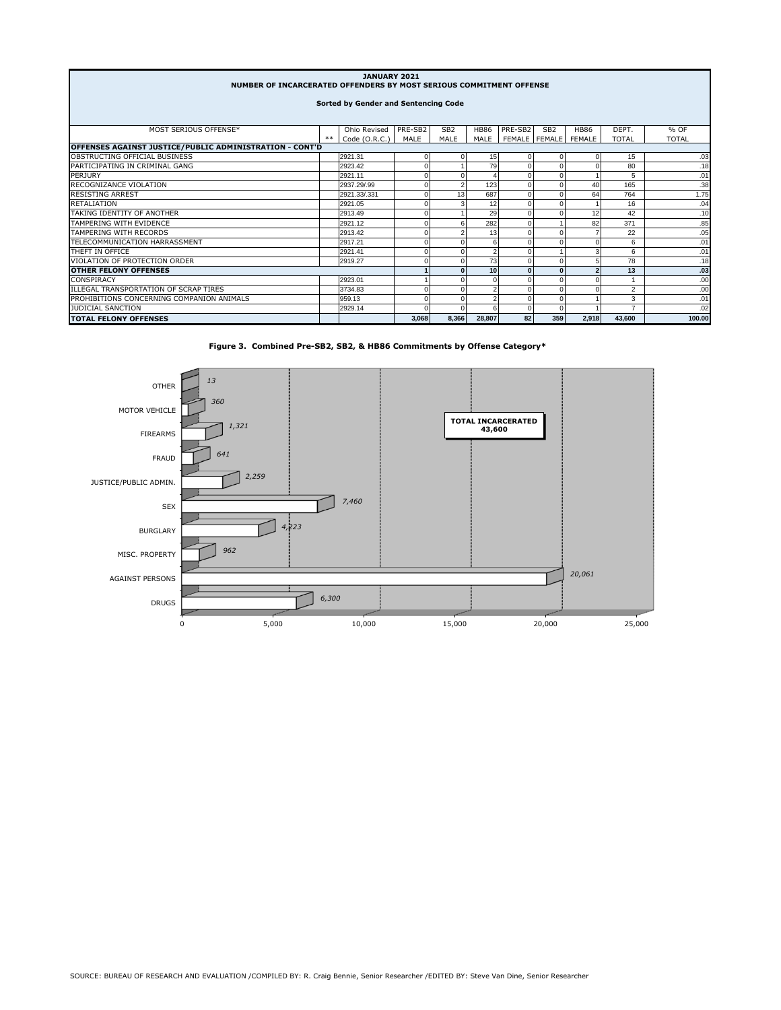| JANUARY 2021<br>NUMBER OF INCARCERATED OFFENDERS BY MOST SERIOUS COMMITMENT OFFENSE |       |               |          |                 |                         |                 |                 |               |                |              |  |
|-------------------------------------------------------------------------------------|-------|---------------|----------|-----------------|-------------------------|-----------------|-----------------|---------------|----------------|--------------|--|
| Sorted by Gender and Sentencing Code                                                |       |               |          |                 |                         |                 |                 |               |                |              |  |
|                                                                                     |       |               |          |                 |                         |                 |                 |               |                |              |  |
| MOST SERIOUS OFFENSE*                                                               |       | Ohio Revised  | PRE-SB2  | SB <sub>2</sub> | <b>HB86</b>             | PRE-SB2         | SB <sub>2</sub> | <b>HB86</b>   | DEPT.          | % OF         |  |
|                                                                                     | $***$ | Code (O.R.C.) | MALE     | MALE            | MALE                    | FEMALE   FEMALE |                 | <b>FEMALE</b> | <b>TOTAL</b>   | <b>TOTAL</b> |  |
| OFFENSES AGAINST JUSTICE/PUBLIC ADMINISTRATION - CONT'D                             |       |               |          |                 |                         |                 |                 |               |                |              |  |
| OBSTRUCTING OFFICIAL BUSINESS                                                       |       | 2921.31       | $\Omega$ |                 | 15                      |                 |                 |               | 15             | .03          |  |
| PARTICIPATING IN CRIMINAL GANG                                                      |       | 2923.42       | $\Omega$ |                 | 79                      |                 |                 |               | 80             | .18          |  |
| PERJURY                                                                             |       | 2921.11       | $\Omega$ |                 |                         | $\Omega$        |                 |               | 5              | .01          |  |
| RECOGNIZANCE VIOLATION                                                              |       | 2937.29/.99   | $\Omega$ |                 | 123                     |                 |                 | 40            | 165            | .38          |  |
| <b>RESISTING ARREST</b>                                                             |       | 2921.33/.331  | $\Omega$ | 13              | 687                     | $\Omega$        |                 | 64            | 764            | 1.75         |  |
| <b>RETALIATION</b>                                                                  |       | 2921.05       | $\Omega$ |                 | 12                      | $\Omega$        |                 |               | 16             | .04          |  |
| TAKING IDENTITY OF ANOTHER                                                          |       | 2913.49       | $\Omega$ |                 | 29                      |                 |                 | 12            | 42             | .10          |  |
| TAMPERING WITH EVIDENCE                                                             |       | 2921.12       | $\Omega$ |                 | 282                     | $\Omega$        |                 | 82            | 371            | .85          |  |
| TAMPERING WITH RECORDS                                                              |       | 2913.42       | $\Omega$ |                 | 13                      | $\Omega$        |                 |               | 22             | .05          |  |
| TELECOMMUNICATION HARRASSMENT                                                       |       | 2917.21       | $\Omega$ |                 | 6                       |                 |                 |               | 6              | .01          |  |
| THEFT IN OFFICE                                                                     |       | 2921.41       | $\Omega$ |                 | $\overline{\mathbf{c}}$ |                 |                 | 3             | 6              | .01          |  |
| VIOLATION OF PROTECTION ORDER                                                       |       | 2919.27       | $\Omega$ |                 | 73                      |                 |                 | 5             | 78             | .18          |  |
| <b>OTHER FELONY OFFENSES</b>                                                        |       |               |          | 10              | $\Omega$                | $\mathbf{0}$    | $\overline{2}$  | 13            | .03            |              |  |
| CONSPIRACY                                                                          |       | 2923.01       |          |                 | $\Omega$                |                 |                 |               |                | .00          |  |
| ILLEGAL TRANSPORTATION OF SCRAP TIRES                                               |       | 3734.83       | $\Omega$ |                 | $\overline{\mathbf{c}}$ |                 | $\Omega$        |               | $\overline{2}$ | .00          |  |
| PROHIBITIONS CONCERNING COMPANION ANIMALS                                           |       | 959.13        | $\Omega$ |                 | $\overline{2}$          |                 | $\Omega$        |               | 3              | .01          |  |
| <b>JUDICIAL SANCTION</b>                                                            |       | 2929.14       | $\Omega$ |                 | 6                       |                 | $\Omega$        |               | $\overline{ }$ | .02          |  |
| <b>TOTAL FELONY OFFENSES</b>                                                        |       |               | 3.068    | 8.366           | 28.807                  | 82              | 359             | 2.918         | 43.600         | 100.00       |  |